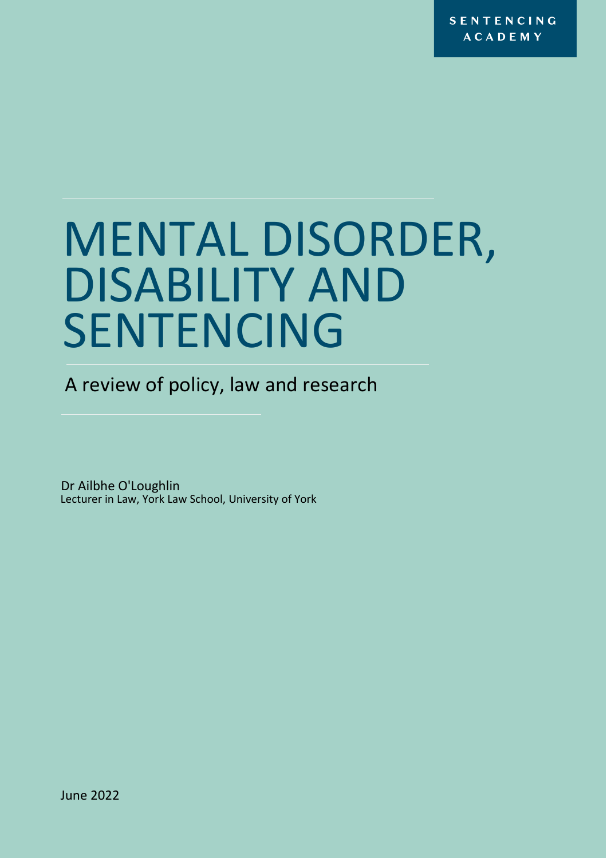**SENTENCING ACADEMY** 

# MENTAL DISORDER, DISABILITY AND SENTENCING

A review of policy, law and research

Dr Ailbhe O'Loughlin Lecturer in Law, York Law School, University of York

June 2022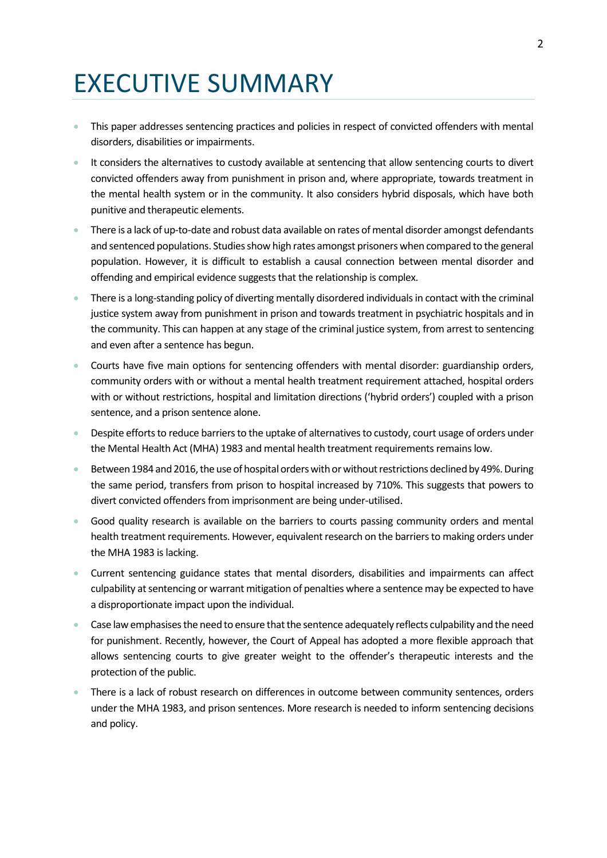## EXECUTIVE SUMMARY

- This paper addresses sentencing practices and policies in respect of convicted offenders with mental disorders, disabilities or impairments.
- It considers the alternatives to custody available at sentencing that allow sentencing courts to divert convicted offenders away from punishment in prison and, where appropriate, towards treatment in the mental health system or in the community. It also considers hybrid disposals, which have both punitive and therapeutic elements.
- There is a lack of up-to-date and robust data available on rates of mental disorder amongst defendants and sentenced populations. Studies show high rates amongst prisoners when compared to the general population. However, it is difficult to establish a causal connection between mental disorder and offending and empirical evidence suggests that the relationship is complex.
- There is a long-standing policy of diverting mentally disordered individuals in contact with the criminal justice system away from punishment in prison and towards treatment in psychiatric hospitals and in the community. This can happen at any stage of the criminal justice system, from arrest to sentencing and even after a sentence has begun.
- Courts have five main options for sentencing offenders with mental disorder: guardianship orders, community orders with or without a mental health treatment requirement attached, hospital orders with or without restrictions, hospital and limitation directions ('hybrid orders') coupled with a prison sentence, and a prison sentence alone.
- Despite efforts to reduce barriers to the uptake of alternatives to custody, court usage of orders under the Mental Health Act (MHA) 1983 and mental health treatment requirements remains low.
- Between 1984 and 2016, the use of hospital orders with or without restrictions declined by 49%. During the same period, transfers from prison to hospital increased by 710%. This suggests that powers to divert convicted offenders from imprisonment are being under-utilised.
- Good quality research is available on the barriers to courts passing community orders and mental health treatment requirements. However, equivalent research on the barriers to making orders under the MHA 1983 is lacking.
- Current sentencing guidance states that mental disorders, disabilities and impairments can affect culpability at sentencing or warrant mitigation of penalties where a sentence may be expected to have a disproportionate impact upon the individual.
- Case law emphasises the need to ensure that the sentence adequately reflects culpability and the need for punishment. Recently, however, the Court of Appeal has adopted a more flexible approach that allows sentencing courts to give greater weight to the offender's therapeutic interests and the protection of the public.
- There is a lack of robust research on differences in outcome between community sentences, orders under the MHA 1983, and prison sentences. More research is needed to inform sentencing decisions and policy.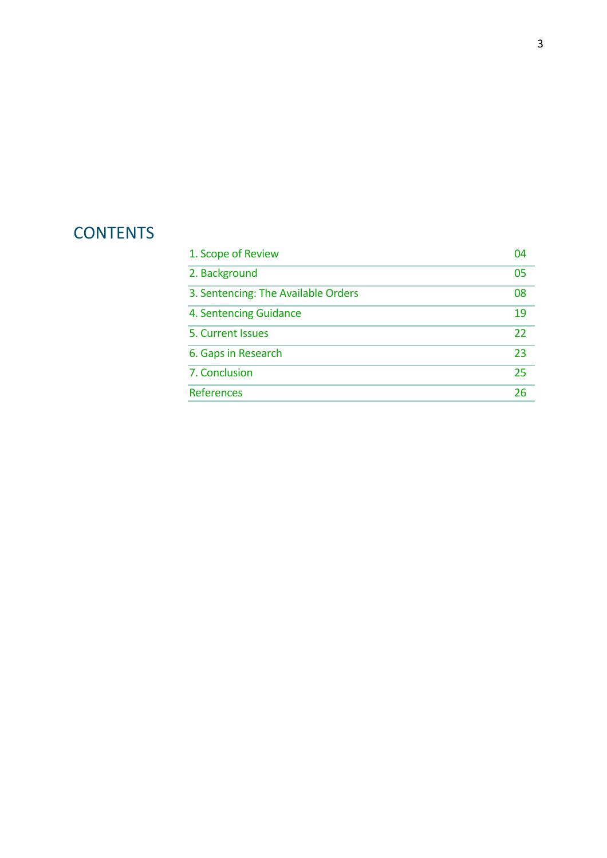### **CONTENTS**

| 1. Scope of Review                  | 04 |
|-------------------------------------|----|
| 2. Background                       | 05 |
| 3. Sentencing: The Available Orders | 08 |
| 4. Sentencing Guidance              | 19 |
| 5. Current Issues                   | 22 |
| 6. Gaps in Research                 | 23 |
| 7. Conclusion                       | 25 |
| References                          | 26 |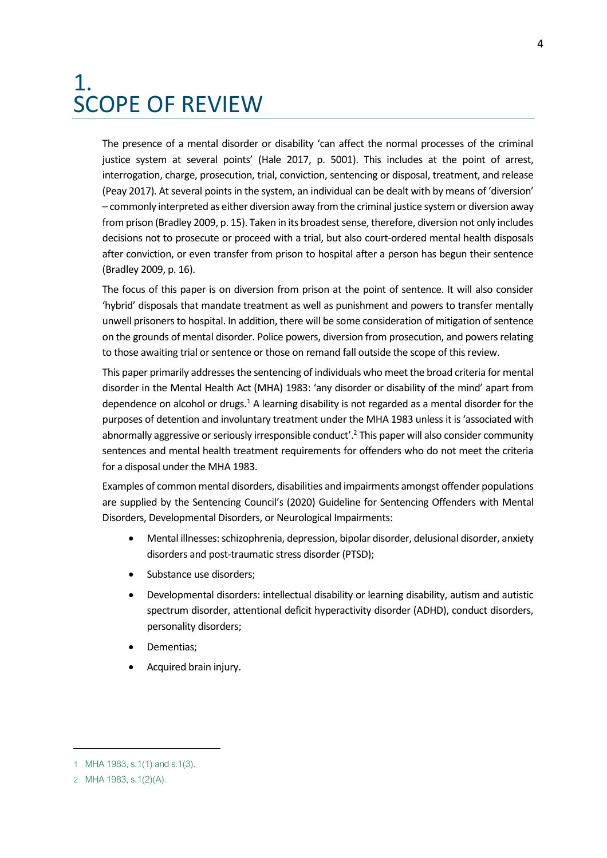### <span id="page-3-0"></span>1. SCOPE OF REVIEW

The presence of a mental disorder or disability 'can affect the normal processes of the criminal justice system at several points' (Hale 2017, p. 5001). This includes at the point of arrest, interrogation, charge, prosecution, trial, conviction, sentencing or disposal, treatment, and release (Peay 2017). At several points in the system, an individual can be dealt with by means of 'diversion' – commonly interpreted as either diversion away from the criminal justice system or diversion away from prison (Bradley 2009, p. 15). Taken in its broadest sense, therefore, diversion not only includes decisions not to prosecute or proceed with a trial, but also court-ordered mental health disposals after conviction, or even transfer from prison to hospital after a person has begun their sentence (Bradley 2009, p. 16).

The focus of this paper is on diversion from prison at the point of sentence. It will also consider 'hybrid' disposals that mandate treatment as well as punishment and powers to transfer mentally unwell prisoners to hospital. In addition, there will be some consideration of mitigation of sentence on the grounds of mental disorder. Police powers, diversion from prosecution, and powers relating to those awaiting trial or sentence or those on remand fall outside the scope of this review.

This paper primarily addresses the sentencing of individuals who meet the broad criteria for mental disorder in the Mental Health Act (MHA) 1983: 'any disorder or disability of the mind' apart from dependence on alcohol or drugs.<sup>1</sup> A learning disability is not regarded as a mental disorder for the purposes of detention and involuntary treatment under the MHA 1983 unless it is 'associated with abnormally aggressive or seriously irresponsible conduct'.<sup>2</sup> This paper will also consider community sentences and mental health treatment requirements for offenders who do not meet the criteria for a disposal under the MHA 1983.

Examples of common mental disorders, disabilities and impairments amongst offender populations are supplied by the Sentencing Council's (2020) Guideline for Sentencing Offenders with Mental Disorders, Developmental Disorders, or Neurological Impairments:

- Mental illnesses: schizophrenia, depression, bipolar disorder, delusional disorder, anxiety disorders and post-traumatic stress disorder (PTSD);
- Substance use disorders;
- Developmental disorders: intellectual disability or learning disability, autism and autistic spectrum disorder, attentional deficit hyperactivity disorder (ADHD), conduct disorders, personality disorders;
- Dementias;
- Acquired brain injury.

4

<sup>1</sup> MHA 1983, s.1(1) and s.1(3).

<sup>2</sup> MHA 1983, s.1(2)(A).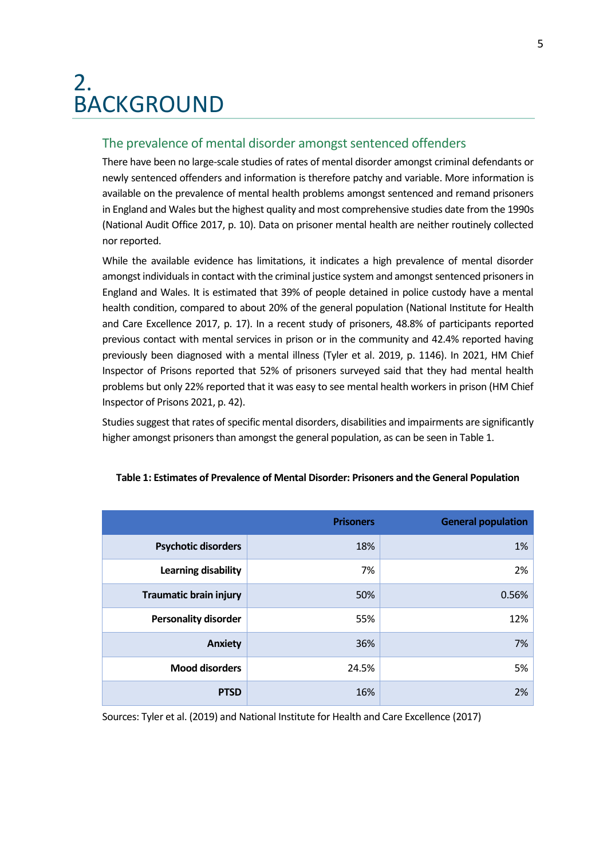### <span id="page-4-0"></span>2. BACKGROUND

### The prevalence of mental disorder amongst sentenced offenders

There have been no large-scale studies of rates of mental disorder amongst criminal defendants or newly sentenced offenders and information is therefore patchy and variable. More information is available on the prevalence of mental health problems amongst sentenced and remand prisoners in England and Wales but the highest quality and most comprehensive studies date from the 1990s (National Audit Office 2017, p. 10). Data on prisoner mental health are neither routinely collected nor reported.

While the available evidence has limitations, it indicates a high prevalence of mental disorder amongst individuals in contact with the criminal justice system and amongst sentenced prisoners in England and Wales. It is estimated that 39% of people detained in police custody have a mental health condition, compared to about 20% of the general population (National Institute for Health and Care Excellence 2017, p. 17). In a recent study of prisoners, 48.8% of participants reported previous contact with mental services in prison or in the community and 42.4% reported having previously been diagnosed with a mental illness (Tyler et al. 2019, p. 1146). In 2021, HM Chief Inspector of Prisons reported that 52% of prisoners surveyed said that they had mental health problems but only 22% reported that it was easy to see mental health workers in prison (HM Chief Inspector of Prisons 2021, p. 42).

Studies suggest that rates of specific mental disorders, disabilities and impairments are significantly higher amongst prisoners than amongst the general population, as can be seen in Table 1.

|                               | <b>Prisoners</b> | <b>General population</b> |
|-------------------------------|------------------|---------------------------|
| <b>Psychotic disorders</b>    | 18%              | 1%                        |
| Learning disability           | 7%               | 2%                        |
| <b>Traumatic brain injury</b> | 50%              | 0.56%                     |
| <b>Personality disorder</b>   | 55%              | 12%                       |
| <b>Anxiety</b>                | 36%              | 7%                        |
| <b>Mood disorders</b>         | 24.5%            | 5%                        |
| <b>PTSD</b>                   | 16%              | 2%                        |

#### **Table 1: Estimates of Prevalence of Mental Disorder: Prisoners and the General Population**

Sources: Tyler et al. (2019) and National Institute for Health and Care Excellence (2017)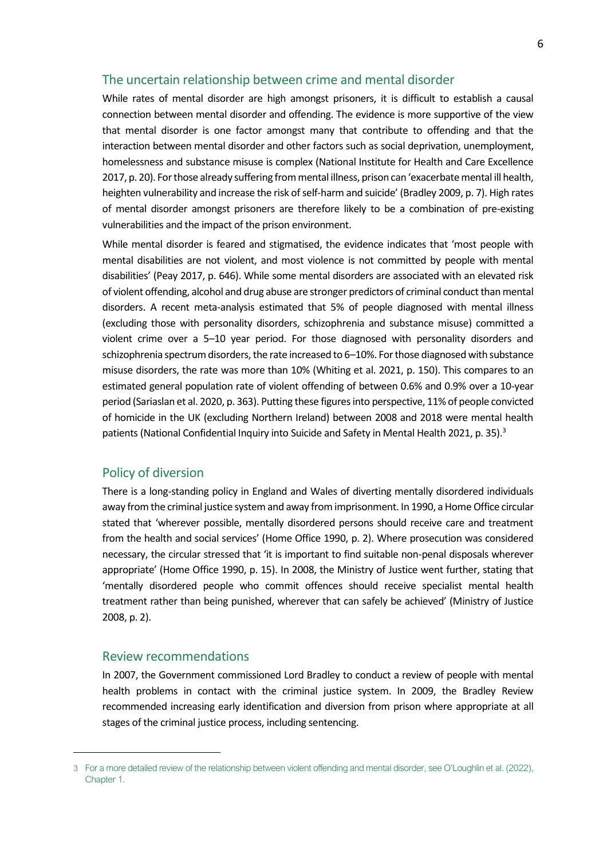### The uncertain relationship between crime and mental disorder

While rates of mental disorder are high amongst prisoners, it is difficult to establish a causal connection between mental disorder and offending. The evidence is more supportive of the view that mental disorder is one factor amongst many that contribute to offending and that the interaction between mental disorder and other factors such as social deprivation, unemployment, homelessness and substance misuse is complex (National Institute for Health and Care Excellence 2017, p. 20). For those already suffering from mental illness, prison can 'exacerbate mental ill health, heighten vulnerability and increase the risk of self-harm and suicide' (Bradley 2009, p. 7). High rates of mental disorder amongst prisoners are therefore likely to be a combination of pre-existing vulnerabilities and the impact of the prison environment.

While mental disorder is feared and stigmatised, the evidence indicates that 'most people with mental disabilities are not violent, and most violence is not committed by people with mental disabilities' (Peay 2017, p. 646). While some mental disorders are associated with an elevated risk of violent offending, alcohol and drug abuse are stronger predictors of criminal conduct than mental disorders. A recent meta-analysis estimated that 5% of people diagnosed with mental illness (excluding those with personality disorders, schizophrenia and substance misuse) committed a violent crime over a 5–10 year period. For those diagnosed with personality disorders and schizophrenia spectrum disorders, the rate increased to 6–10%. For those diagnosed with substance misuse disorders, the rate was more than 10% (Whiting et al. 2021, p. 150). This compares to an estimated general population rate of violent offending of between 0.6% and 0.9% over a 10-year period (Sariaslan et al. 2020, p. 363). Putting these figures into perspective, 11% of people convicted of homicide in the UK (excluding Northern Ireland) between 2008 and 2018 were mental health patients (National Confidential Inquiry into Suicide and Safety in Mental Health 2021, p. 35).<sup>3</sup>

#### Policy of diversion

There is a long-standing policy in England and Wales of diverting mentally disordered individuals away from the criminal justice system and away from imprisonment. In 1990, a Home Office circular stated that 'wherever possible, mentally disordered persons should receive care and treatment from the health and social services' (Home Office 1990, p. 2). Where prosecution was considered necessary, the circular stressed that 'it is important to find suitable non-penal disposals wherever appropriate' (Home Office 1990, p. 15). In 2008, the Ministry of Justice went further, stating that 'mentally disordered people who commit offences should receive specialist mental health treatment rather than being punished, wherever that can safely be achieved' (Ministry of Justice 2008, p. 2).

#### Review recommendations

In 2007, the Government commissioned Lord Bradley to conduct a review of people with mental health problems in contact with the criminal justice system. In 2009, the Bradley Review recommended increasing early identification and diversion from prison where appropriate at all stages of the criminal justice process, including sentencing.

<sup>3</sup> For a more detailed review of the relationship between violent offending and mental disorder, see O'Loughlin et al. (2022), Chapter 1.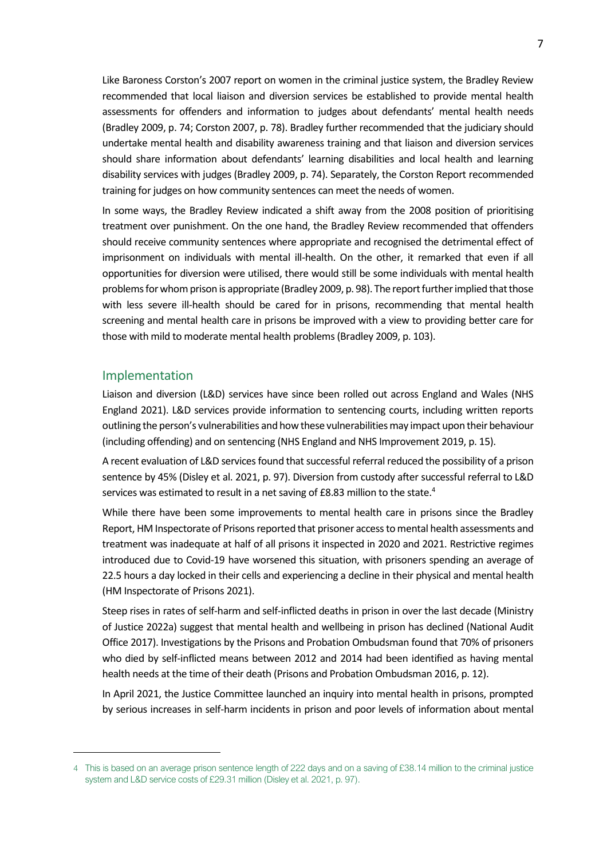Like Baroness Corston's 2007 report on women in the criminal justice system, the Bradley Review recommended that local liaison and diversion services be established to provide mental health assessments for offenders and information to judges about defendants' mental health needs (Bradley 2009, p. 74; Corston 2007, p. 78). Bradley further recommended that the judiciary should undertake mental health and disability awareness training and that liaison and diversion services should share information about defendants' learning disabilities and local health and learning disability services with judges (Bradley 2009, p. 74). Separately, the Corston Report recommended training for judges on how community sentences can meet the needs of women.

In some ways, the Bradley Review indicated a shift away from the 2008 position of prioritising treatment over punishment. On the one hand, the Bradley Review recommended that offenders should receive community sentences where appropriate and recognised the detrimental effect of imprisonment on individuals with mental ill-health. On the other, it remarked that even if all opportunities for diversion were utilised, there would still be some individuals with mental health problems for whom prison is appropriate (Bradley 2009, p. 98). The report further implied that those with less severe ill-health should be cared for in prisons, recommending that mental health screening and mental health care in prisons be improved with a view to providing better care for those with mild to moderate mental health problems (Bradley 2009, p. 103).

### Implementation

Liaison and diversion (L&D) services have since been rolled out across England and Wales (NHS England 2021). L&D services provide information to sentencing courts, including written reports outlining the person's vulnerabilities and how these vulnerabilities may impact upon their behaviour (including offending) and on sentencing (NHS England and NHS Improvement 2019, p. 15).

A recent evaluation of L&D services found that successful referral reduced the possibility of a prison sentence by 45% (Disley et al. 2021, p. 97). Diversion from custody after successful referral to L&D services was estimated to result in a net saving of £8.83 million to the state.<sup>4</sup>

While there have been some improvements to mental health care in prisons since the Bradley Report, HM Inspectorate of Prisons reported that prisoner access to mental health assessments and treatment was inadequate at half of all prisons it inspected in 2020 and 2021. Restrictive regimes introduced due to Covid-19 have worsened this situation, with prisoners spending an average of 22.5 hours a day locked in their cells and experiencing a decline in their physical and mental health (HM Inspectorate of Prisons 2021).

Steep rises in rates of self-harm and self-inflicted deaths in prison in over the last decade (Ministry of Justice 2022a) suggest that mental health and wellbeing in prison has declined (National Audit Office 2017). Investigations by the Prisons and Probation Ombudsman found that 70% of prisoners who died by self-inflicted means between 2012 and 2014 had been identified as having mental health needs at the time of their death (Prisons and Probation Ombudsman 2016, p. 12).

In April 2021, the Justice Committee launched an inquiry into mental health in prisons, prompted by serious increases in self-harm incidents in prison and poor levels of information about mental

<sup>4</sup> This is based on an average prison sentence length of 222 days and on a saving of £38.14 million to the criminal justice system and L&D service costs of £29.31 million (Disley et al. 2021, p. 97).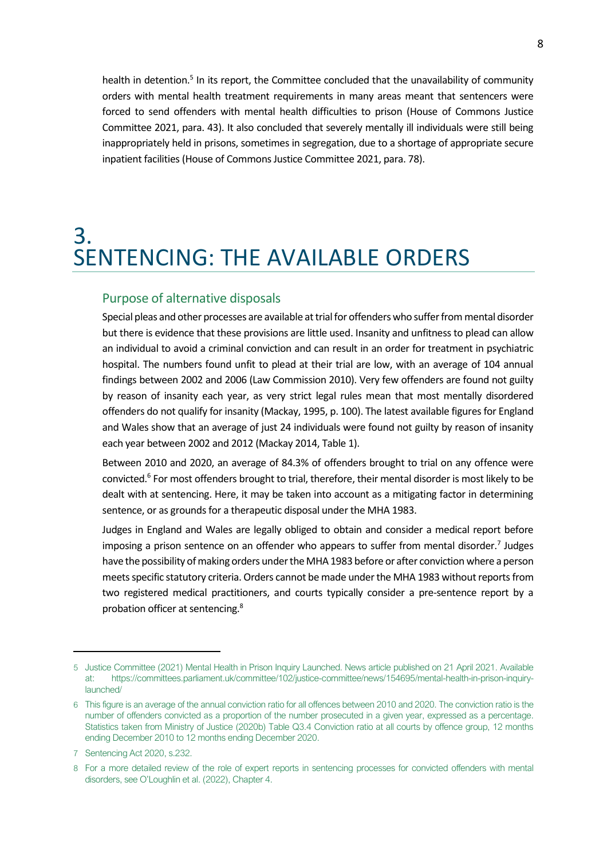health in detention.<sup>5</sup> In its report, the Committee concluded that the unavailability of community orders with mental health treatment requirements in many areas meant that sentencers were forced to send offenders with mental health difficulties to prison (House of Commons Justice Committee 2021, para. 43). It also concluded that severely mentally ill individuals were still being inappropriately held in prisons, sometimes in segregation, due to a shortage of appropriate secure inpatient facilities (House of Commons Justice Committee 2021, para. 78).

### <span id="page-7-0"></span>3. SENTENCING: THE AVAILABLE ORDERS

### Purpose of alternative disposals

Special pleas and other processes are available at trial for offenders who suffer from mental disorder but there is evidence that these provisions are little used. Insanity and unfitness to plead can allow an individual to avoid a criminal conviction and can result in an order for treatment in psychiatric hospital. The numbers found unfit to plead at their trial are low, with an average of 104 annual findings between 2002 and 2006 (Law Commission 2010). Very few offenders are found not guilty by reason of insanity each year, as very strict legal rules mean that most mentally disordered offenders do not qualify for insanity (Mackay, 1995, p. 100). The latest available figures for England and Wales show that an average of just 24 individuals were found not guilty by reason of insanity each year between 2002 and 2012 (Mackay 2014, Table 1).

Between 2010 and 2020, an average of 84.3% of offenders brought to trial on any offence were convicted.<sup>6</sup> For most offenders brought to trial, therefore, their mental disorder is most likely to be dealt with at sentencing. Here, it may be taken into account as a mitigating factor in determining sentence, or as grounds for a therapeutic disposal under the MHA 1983.

Judges in England and Wales are legally obliged to obtain and consider a medical report before imposing a prison sentence on an offender who appears to suffer from mental disorder.<sup>7</sup> Judges have the possibility of making orders under the MHA 1983 before or after conviction where a person meets specific statutory criteria. Orders cannot be made under the MHA 1983 without reports from two registered medical practitioners, and courts typically consider a pre-sentence report by a probation officer at sentencing.<sup>8</sup>

<sup>5</sup> Justice Committee (2021) Mental Health in Prison Inquiry Launched. News article published on 21 April 2021. Available at: https://committees.parliament.uk/committee/102/justice-committee/news/154695/mental-health-in-prison-inquirylaunched/

<sup>6</sup> This figure is an average of the annual conviction ratio for all offences between 2010 and 2020. The conviction ratio is the number of offenders convicted as a proportion of the number prosecuted in a given year, expressed as a percentage. Statistics taken from Ministry of Justice (2020b) Table Q3.4 Conviction ratio at all courts by offence group, 12 months ending December 2010 to 12 months ending December 2020.

<sup>7</sup> Sentencing Act 2020, s.232.

<sup>8</sup> For a more detailed review of the role of expert reports in sentencing processes for convicted offenders with mental disorders, see O'Loughlin et al. (2022), Chapter 4.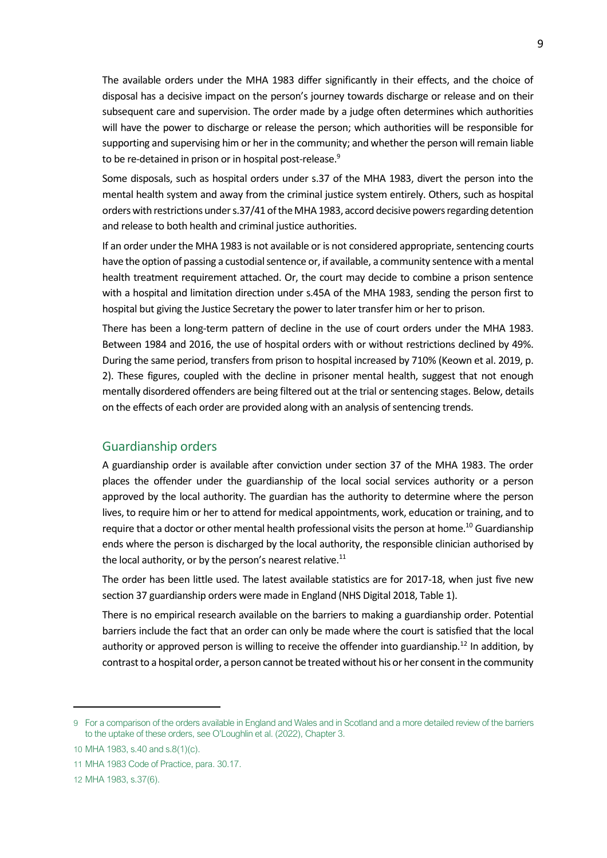The available orders under the MHA 1983 differ significantly in their effects, and the choice of disposal has a decisive impact on the person's journey towards discharge or release and on their subsequent care and supervision. The order made by a judge often determines which authorities will have the power to discharge or release the person; which authorities will be responsible for supporting and supervising him or her in the community; and whether the person will remain liable to be re-detained in prison or in hospital post-release.<sup>9</sup>

Some disposals, such as hospital orders under s.37 of the MHA 1983, divert the person into the mental health system and away from the criminal justice system entirely. Others, such as hospital orders with restrictions under s.37/41 of the MHA 1983, accord decisive powers regarding detention and release to both health and criminal justice authorities.

If an order under the MHA 1983 is not available or is not considered appropriate, sentencing courts have the option of passing a custodial sentence or, if available, a community sentence with a mental health treatment requirement attached. Or, the court may decide to combine a prison sentence with a hospital and limitation direction under s.45A of the MHA 1983, sending the person first to hospital but giving the Justice Secretary the power to later transfer him or her to prison.

There has been a long-term pattern of decline in the use of court orders under the MHA 1983. Between 1984 and 2016, the use of hospital orders with or without restrictions declined by 49%. During the same period, transfers from prison to hospital increased by 710% (Keown et al. 2019, p. 2). These figures, coupled with the decline in prisoner mental health, suggest that not enough mentally disordered offenders are being filtered out at the trial or sentencing stages. Below, details on the effects of each order are provided along with an analysis of sentencing trends.

### Guardianship orders

A guardianship order is available after conviction under section 37 of the MHA 1983. The order places the offender under the guardianship of the local social services authority or a person approved by the local authority. The guardian has the authority to determine where the person lives, to require him or her to attend for medical appointments, work, education or training, and to require that a doctor or other mental health professional visits the person at home.<sup>10</sup> Guardianship ends where the person is discharged by the local authority, the responsible clinician authorised by the local authority, or by the person's nearest relative. $11$ 

The order has been little used. The latest available statistics are for 2017-18, when just five new section 37 guardianship orders were made in England (NHS Digital 2018, Table 1).

There is no empirical research available on the barriers to making a guardianship order. Potential barriers include the fact that an order can only be made where the court is satisfied that the local authority or approved person is willing to receive the offender into guardianship.<sup>12</sup> In addition, by contrast to a hospital order, a person cannot be treated without his or her consent in the community

<sup>9</sup> For a comparison of the orders available in England and Wales and in Scotland and a more detailed review of the barriers to the uptake of these orders, see O'Loughlin et al. (2022), Chapter 3.

<sup>10</sup> MHA 1983, s.40 and s.8(1)(c).

<sup>11</sup> MHA 1983 Code of Practice, para. 30.17.

<sup>12</sup> MHA 1983, s.37(6).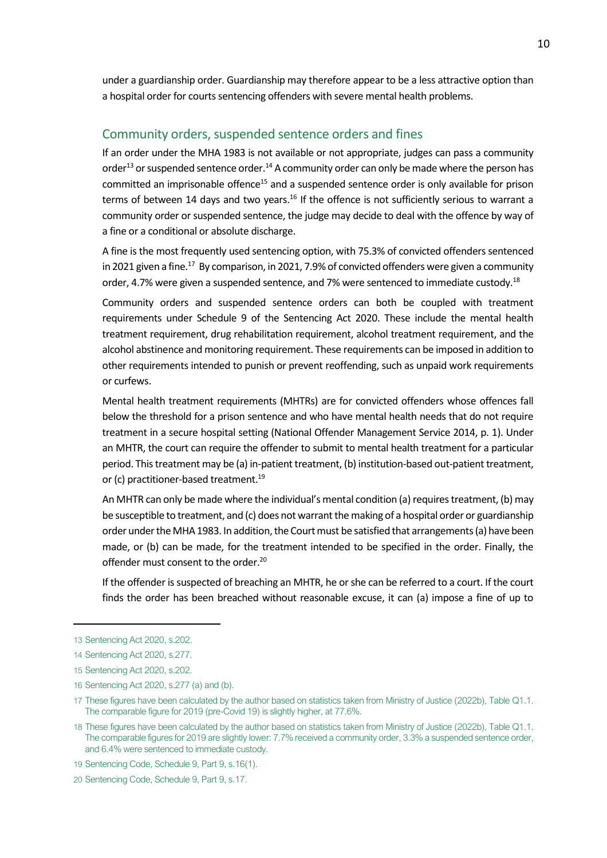under a guardianship order. Guardianship may therefore appear to be a less attractive option than a hospital order for courts sentencing offenders with severe mental health problems.

### Community orders, suspended sentence orders and fines

If an order under the MHA 1983 is not available or not appropriate, judges can pass a community order<sup>13</sup> or suspended sentence order.<sup>14</sup> A community order can only be made where the person has committed an imprisonable offence<sup>15</sup> and a suspended sentence order is only available for prison terms of between 14 days and two years.<sup>16</sup> If the offence is not sufficiently serious to warrant a community order or suspended sentence, the judge may decide to deal with the offence by way of a fine or a conditional or absolute discharge.

A fine is the most frequently used sentencing option, with 75.3% of convicted offenders sentenced in 2021 given a fine. $^{17}$  By comparison, in 2021, 7.9% of convicted offenders were given a community order, 4.7% were given a suspended sentence, and 7% were sentenced to immediate custody.<sup>18</sup>

Community orders and suspended sentence orders can both be coupled with treatment requirements under Schedule 9 of the Sentencing Act 2020. These include the mental health treatment requirement, drug rehabilitation requirement, alcohol treatment requirement, and the alcohol abstinence and monitoring requirement. These requirements can be imposed in addition to other requirements intended to punish or prevent reoffending, such as unpaid work requirements or curfews.

Mental health treatment requirements (MHTRs) are for convicted offenders whose offences fall below the threshold for a prison sentence and who have mental health needs that do not require treatment in a secure hospital setting (National Offender Management Service 2014, p. 1). Under an MHTR, the court can require the offender to submit to mental health treatment for a particular period. This treatment may be (a) in-patient treatment, (b) institution-based out-patient treatment, or (c) practitioner-based treatment.<sup>19</sup>

An MHTR can only be made where the individual's mental condition (a) requires treatment, (b) may be susceptible to treatment, and (c) does not warrant the making of a hospital order or guardianship order under the MHA 1983. In addition, the Court must be satisfied that arrangements (a) have been made, or (b) can be made, for the treatment intended to be specified in the order. Finally, the offender must consent to the order.<sup>20</sup>

If the offender is suspected of breaching an MHTR, he or she can be referred to a court. If the court finds the order has been breached without reasonable excuse, it can (a) impose a fine of up to

<sup>13</sup> Sentencing Act 2020, s.202.

<sup>14</sup> Sentencing Act 2020, s.277.

<sup>15</sup> Sentencing Act 2020, s.202.

<sup>16</sup> Sentencing Act 2020, s.277 (a) and (b).

<sup>17</sup> These figures have been calculated by the author based on statistics taken from Ministry of Justice (2022b), Table Q1.1. The comparable figure for 2019 (pre-Covid 19) is slightly higher, at 77.6%.

<sup>18</sup> These figures have been calculated by the author based on statistics taken from Ministry of Justice (2022b), Table Q1.1. The comparable figures for 2019 are slightly lower: 7.7% received a community order, 3.3% a suspended sentence order, and 6.4% were sentenced to immediate custody.

<sup>19</sup> Sentencing Code, Schedule 9, Part 9, s.16(1).

<sup>20</sup> Sentencing Code, Schedule 9, Part 9, s.17.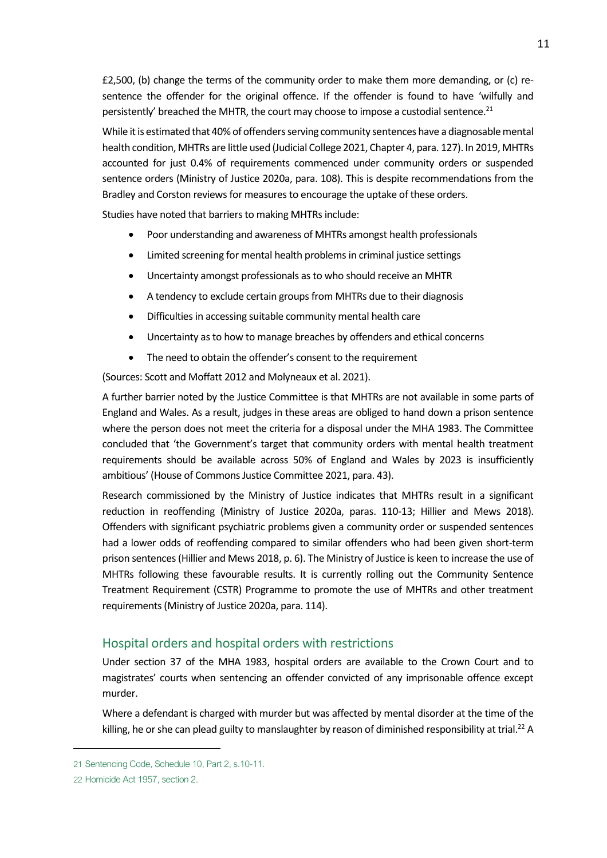£2,500, (b) change the terms of the community order to make them more demanding, or (c) resentence the offender for the original offence. If the offender is found to have 'wilfully and persistently' breached the MHTR, the court may choose to impose a custodial sentence.<sup>21</sup>

While it is estimated that 40% of offenders serving community sentences have a diagnosable mental health condition, MHTRs are little used (Judicial College 2021, Chapter 4, para. 127). In 2019, MHTRs accounted for just 0.4% of requirements commenced under community orders or suspended sentence orders (Ministry of Justice 2020a, para. 108). This is despite recommendations from the Bradley and Corston reviews for measures to encourage the uptake of these orders.

Studies have noted that barriers to making MHTRs include:

- Poor understanding and awareness of MHTRs amongst health professionals
- Limited screening for mental health problems in criminal justice settings
- Uncertainty amongst professionals as to who should receive an MHTR
- A tendency to exclude certain groups from MHTRs due to their diagnosis
- Difficulties in accessing suitable community mental health care
- Uncertainty as to how to manage breaches by offenders and ethical concerns
- The need to obtain the offender's consent to the requirement

(Sources: Scott and Moffatt 2012 and Molyneaux et al. 2021).

A further barrier noted by the Justice Committee is that MHTRs are not available in some parts of England and Wales. As a result, judges in these areas are obliged to hand down a prison sentence where the person does not meet the criteria for a disposal under the MHA 1983. The Committee concluded that 'the Government's target that community orders with mental health treatment requirements should be available across 50% of England and Wales by 2023 is insufficiently ambitious' (House of Commons Justice Committee 2021, para. 43).

Research commissioned by the Ministry of Justice indicates that MHTRs result in a significant reduction in reoffending (Ministry of Justice 2020a, paras. 110-13; Hillier and Mews 2018). Offenders with significant psychiatric problems given a community order or suspended sentences had a lower odds of reoffending compared to similar offenders who had been given short-term prison sentences (Hillier and Mews 2018, p. 6). The Ministry of Justice is keen to increase the use of MHTRs following these favourable results. It is currently rolling out the Community Sentence Treatment Requirement (CSTR) Programme to promote the use of MHTRs and other treatment requirements (Ministry of Justice 2020a, para. 114).

#### Hospital orders and hospital orders with restrictions

Under section 37 of the MHA 1983, hospital orders are available to the Crown Court and to magistrates' courts when sentencing an offender convicted of any imprisonable offence except murder.

Where a defendant is charged with murder but was affected by mental disorder at the time of the killing, he or she can plead guilty to manslaughter by reason of diminished responsibility at trial.<sup>22</sup> A

<sup>21</sup> Sentencing Code, Schedule 10, Part 2, s.10-11.

<sup>22</sup> Homicide Act 1957, section 2.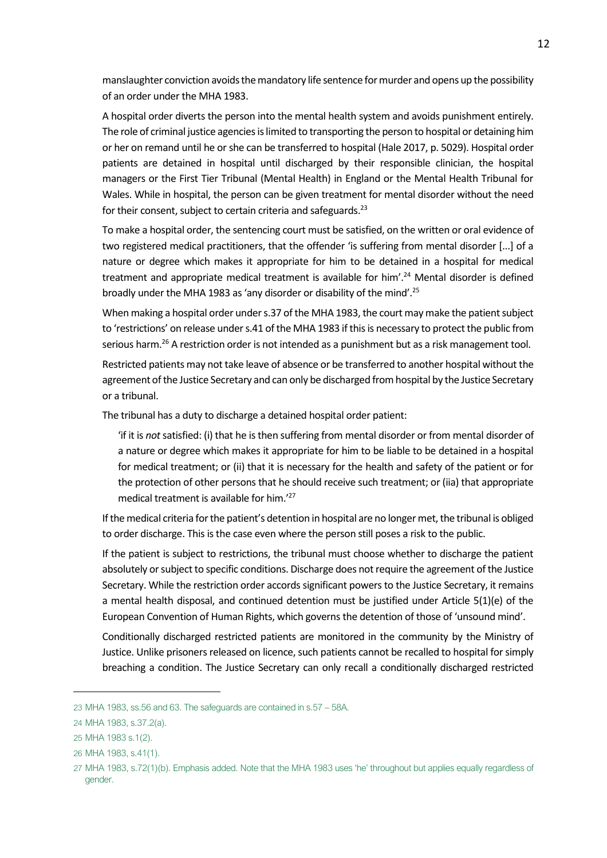manslaughter conviction avoids the mandatory life sentence for murder and opens up the possibility of an order under the MHA 1983.

A hospital order diverts the person into the mental health system and avoids punishment entirely. The role of criminal justice agencies is limited to transporting the person to hospital or detaining him or her on remand until he or she can be transferred to hospital (Hale 2017, p. 5029). Hospital order patients are detained in hospital until discharged by their responsible clinician, the hospital managers or the First Tier Tribunal (Mental Health) in England or the Mental Health Tribunal for Wales. While in hospital, the person can be given treatment for mental disorder without the need for their consent, subject to certain criteria and safeguards.<sup>23</sup>

To make a hospital order, the sentencing court must be satisfied, on the written or oral evidence of two registered medical practitioners, that the offender 'is suffering from mental disorder [...] of a nature or degree which makes it appropriate for him to be detained in a hospital for medical treatment and appropriate medical treatment is available for him'.<sup>24</sup> Mental disorder is defined broadly under the MHA 1983 as 'any disorder or disability of the mind'.<sup>25</sup>

When making a hospital order under s.37 of the MHA 1983, the court may make the patient subject to 'restrictions' on release under s.41 of the MHA 1983 if this is necessary to protect the public from serious harm.<sup>26</sup> A restriction order is not intended as a punishment but as a risk management tool.

Restricted patients may not take leave of absence or be transferred to another hospital without the agreement of the Justice Secretary and can only be discharged from hospital by the Justice Secretary or a tribunal.

The tribunal has a duty to discharge a detained hospital order patient:

'if it is *not* satisfied: (i) that he is then suffering from mental disorder or from mental disorder of a nature or degree which makes it appropriate for him to be liable to be detained in a hospital for medical treatment; or (ii) that it is necessary for the health and safety of the patient or for the protection of other persons that he should receive such treatment; or (iia) that appropriate medical treatment is available for him.' 27

If the medical criteria for the patient's detention in hospital are no longer met, the tribunal is obliged to order discharge. This is the case even where the person still poses a risk to the public.

If the patient is subject to restrictions, the tribunal must choose whether to discharge the patient absolutely or subject to specific conditions. Discharge does not require the agreement of the Justice Secretary. While the restriction order accords significant powers to the Justice Secretary, it remains a mental health disposal, and continued detention must be justified under Article 5(1)(e) of the European Convention of Human Rights, which governs the detention of those of 'unsound mind'.

Conditionally discharged restricted patients are monitored in the community by the Ministry of Justice. Unlike prisoners released on licence, such patients cannot be recalled to hospital for simply breaching a condition. The Justice Secretary can only recall a conditionally discharged restricted

<sup>23</sup> MHA 1983, ss.56 and 63. The safeguards are contained in s.57 – 58A.

<sup>24</sup> MHA 1983, s.37.2(a).

<sup>25</sup> MHA 1983 s.1(2).

<sup>26</sup> MHA 1983, s.41(1).

<sup>27</sup> MHA 1983, s.72(1)(b). Emphasis added. Note that the MHA 1983 uses 'he' throughout but applies equally regardless of gender.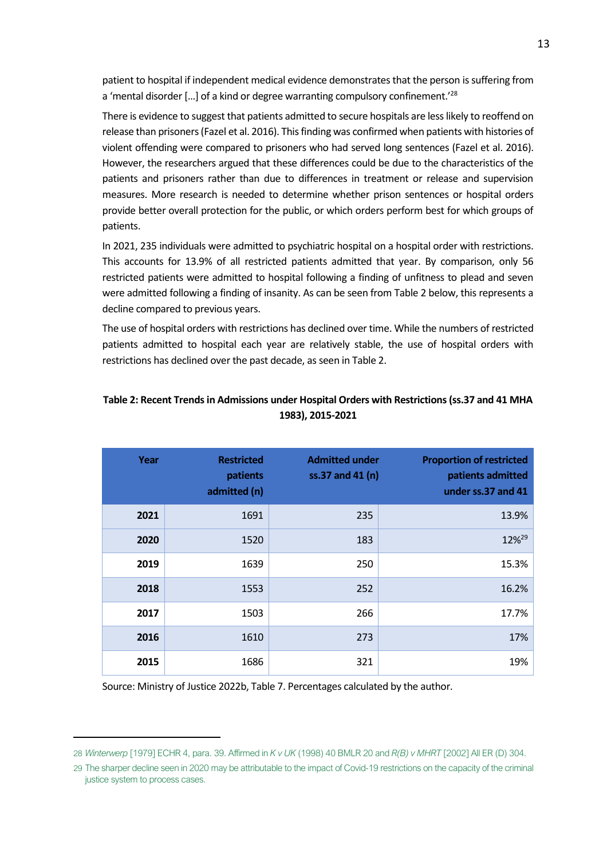patient to hospital if independent medical evidence demonstrates that the person is suffering from a 'mental disorder […] of a kind or degree warranting compulsory confinement.'<sup>28</sup>

There is evidence to suggest that patients admitted to secure hospitals are less likely to reoffend on release than prisoners (Fazel et al. 2016). This finding was confirmed when patients with histories of violent offending were compared to prisoners who had served long sentences (Fazel et al. 2016). However, the researchers argued that these differences could be due to the characteristics of the patients and prisoners rather than due to differences in treatment or release and supervision measures. More research is needed to determine whether prison sentences or hospital orders provide better overall protection for the public, or which orders perform best for which groups of patients.

In 2021, 235 individuals were admitted to psychiatric hospital on a hospital order with restrictions. This accounts for 13.9% of all restricted patients admitted that year. By comparison, only 56 restricted patients were admitted to hospital following a finding of unfitness to plead and seven were admitted following a finding of insanity. As can be seen from Table 2 below, this represents a decline compared to previous years.

The use of hospital orders with restrictions has declined over time. While the numbers of restricted patients admitted to hospital each year are relatively stable, the use of hospital orders with restrictions has declined over the past decade, as seen in Table 2.

| Year | <b>Restricted</b><br>patients<br>admitted (n) | <b>Admitted under</b><br>ss.37 and 41 (n) | <b>Proportion of restricted</b><br>patients admitted<br>under ss.37 and 41 |
|------|-----------------------------------------------|-------------------------------------------|----------------------------------------------------------------------------|
| 2021 | 1691                                          | 235                                       | 13.9%                                                                      |
| 2020 | 1520                                          | 183                                       | 12% <sup>29</sup>                                                          |
| 2019 | 1639                                          | 250                                       | 15.3%                                                                      |
| 2018 | 1553                                          | 252                                       | 16.2%                                                                      |
| 2017 | 1503                                          | 266                                       | 17.7%                                                                      |
| 2016 | 1610                                          | 273                                       | 17%                                                                        |
| 2015 | 1686                                          | 321                                       | 19%                                                                        |

### **Table 2: Recent Trends in Admissions under Hospital Orders with Restrictions (ss.37 and 41 MHA 1983), 2015-2021**

Source: Ministry of Justice 2022b, Table 7. Percentages calculated by the author.

<sup>28</sup> *Winterwerp* [1979] ECHR 4, para. 39. Affirmed in *K v UK* (1998) 40 BMLR 20 and *R(B) v MHRT* [2002] All ER (D) 304.

<sup>29</sup> The sharper decline seen in 2020 may be attributable to the impact of Covid-19 restrictions on the capacity of the criminal justice system to process cases.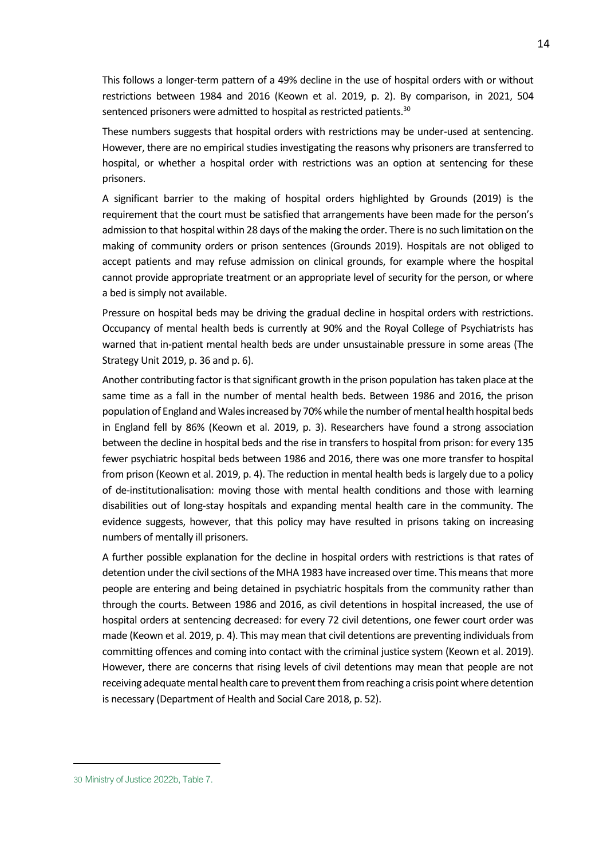This follows a longer-term pattern of a 49% decline in the use of hospital orders with or without restrictions between 1984 and 2016 (Keown et al. 2019, p. 2). By comparison, in 2021, 504 sentenced prisoners were admitted to hospital as restricted patients.<sup>30</sup>

These numbers suggests that hospital orders with restrictions may be under-used at sentencing. However, there are no empirical studies investigating the reasons why prisoners are transferred to hospital, or whether a hospital order with restrictions was an option at sentencing for these prisoners.

A significant barrier to the making of hospital orders highlighted by Grounds (2019) is the requirement that the court must be satisfied that arrangements have been made for the person's admission to that hospital within 28 days of the making the order. There is no such limitation on the making of community orders or prison sentences (Grounds 2019). Hospitals are not obliged to accept patients and may refuse admission on clinical grounds, for example where the hospital cannot provide appropriate treatment or an appropriate level of security for the person, or where a bed is simply not available.

Pressure on hospital beds may be driving the gradual decline in hospital orders with restrictions. Occupancy of mental health beds is currently at 90% and the Royal College of Psychiatrists has warned that in-patient mental health beds are under unsustainable pressure in some areas (The Strategy Unit 2019, p. 36 and p. 6).

Another contributing factor is that significant growth in the prison population has taken place at the same time as a fall in the number of mental health beds. Between 1986 and 2016, the prison population of England and Wales increased by 70% while the number of mental health hospital beds in England fell by 86% (Keown et al. 2019, p. 3). Researchers have found a strong association between the decline in hospital beds and the rise in transfers to hospital from prison: for every 135 fewer psychiatric hospital beds between 1986 and 2016, there was one more transfer to hospital from prison (Keown et al. 2019, p. 4). The reduction in mental health beds is largely due to a policy of de-institutionalisation: moving those with mental health conditions and those with learning disabilities out of long-stay hospitals and expanding mental health care in the community. The evidence suggests, however, that this policy may have resulted in prisons taking on increasing numbers of mentally ill prisoners.

A further possible explanation for the decline in hospital orders with restrictions is that rates of detention under the civil sections of the MHA 1983 have increased over time. This means that more people are entering and being detained in psychiatric hospitals from the community rather than through the courts. Between 1986 and 2016, as civil detentions in hospital increased, the use of hospital orders at sentencing decreased: for every 72 civil detentions, one fewer court order was made (Keown et al. 2019, p. 4). This may mean that civil detentions are preventing individuals from committing offences and coming into contact with the criminal justice system (Keown et al. 2019). However, there are concerns that rising levels of civil detentions may mean that people are not receiving adequate mental health care to prevent them from reaching a crisis point where detention is necessary (Department of Health and Social Care 2018, p. 52).

<sup>30</sup> Ministry of Justice 2022b, Table 7.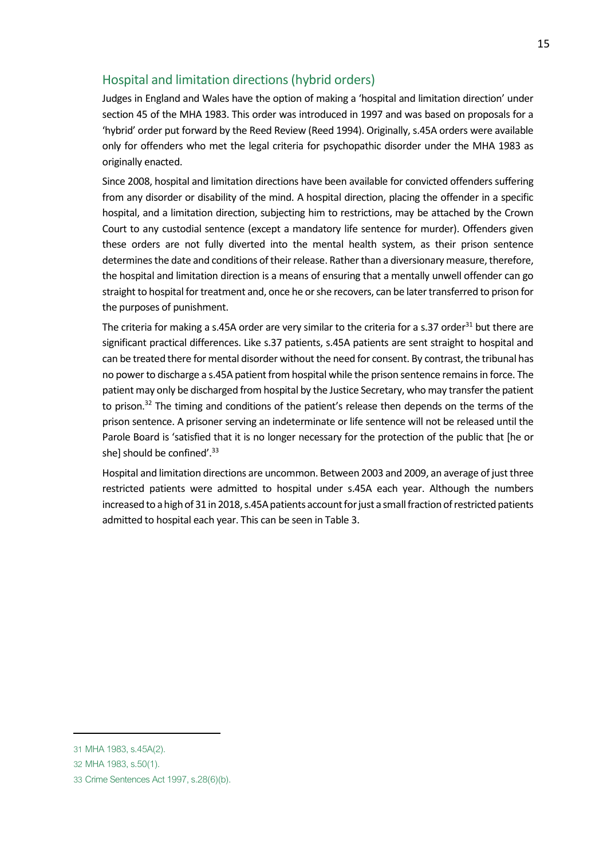### Hospital and limitation directions (hybrid orders)

Judges in England and Wales have the option of making a 'hospital and limitation direction' under section 45 of the MHA 1983. This order was introduced in 1997 and was based on proposals for a 'hybrid' order put forward by the Reed Review (Reed 1994). Originally, s.45A orders were available only for offenders who met the legal criteria for psychopathic disorder under the MHA 1983 as originally enacted.

Since 2008, hospital and limitation directions have been available for convicted offenders suffering from any disorder or disability of the mind. A hospital direction, placing the offender in a specific hospital, and a limitation direction, subjecting him to restrictions, may be attached by the Crown Court to any custodial sentence (except a mandatory life sentence for murder). Offenders given these orders are not fully diverted into the mental health system, as their prison sentence determines the date and conditions of their release. Rather than a diversionary measure, therefore, the hospital and limitation direction is a means of ensuring that a mentally unwell offender can go straight to hospital for treatment and, once he or she recovers, can be later transferred to prison for the purposes of punishment.

The criteria for making a s.45A order are very similar to the criteria for a s.37 order<sup>31</sup> but there are significant practical differences. Like s.37 patients, s.45A patients are sent straight to hospital and can be treated there for mental disorder without the need for consent. By contrast, the tribunal has no power to discharge a s.45A patient from hospital while the prison sentence remains in force. The patient may only be discharged from hospital by the Justice Secretary, who may transfer the patient to prison.<sup>32</sup> The timing and conditions of the patient's release then depends on the terms of the prison sentence. A prisoner serving an indeterminate or life sentence will not be released until the Parole Board is 'satisfied that it is no longer necessary for the protection of the public that [he or she] should be confined'.<sup>33</sup>

Hospital and limitation directions are uncommon. Between 2003 and 2009, an average of just three restricted patients were admitted to hospital under s.45A each year. Although the numbers increased to a high of 31 in 2018, s.45A patients account for just a small fraction of restricted patients admitted to hospital each year. This can be seen in Table 3.

<sup>31</sup> MHA 1983, s.45A(2).

<sup>32</sup> MHA 1983, s.50(1).

<sup>33</sup> Crime Sentences Act 1997, s.28(6)(b).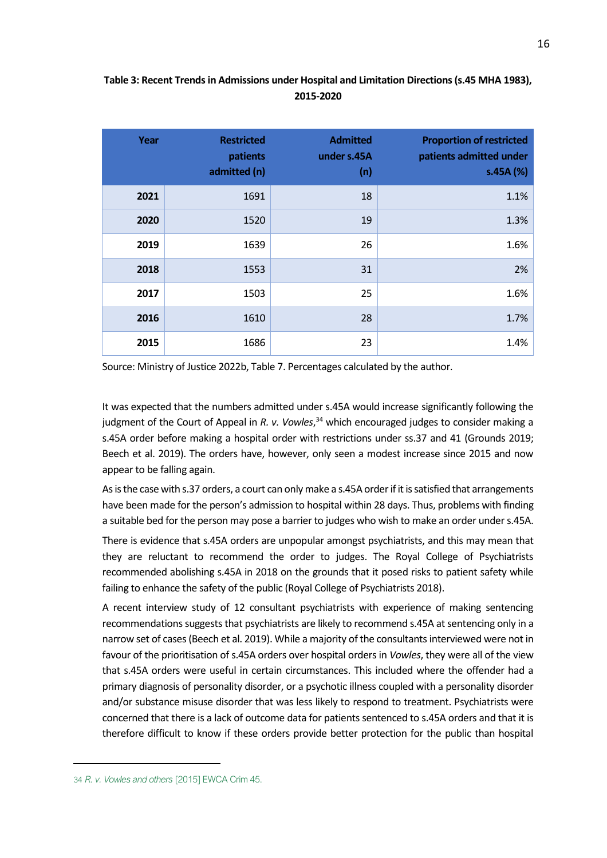### **Table 3: Recent Trends in Admissions under Hospital and Limitation Directions (s.45 MHA 1983), 2015-2020**

| Year | <b>Restricted</b><br>patients<br>admitted (n) | <b>Admitted</b><br>under s.45A<br>(n) | <b>Proportion of restricted</b><br>patients admitted under<br>s.45A (%) |
|------|-----------------------------------------------|---------------------------------------|-------------------------------------------------------------------------|
| 2021 | 1691                                          | 18                                    | 1.1%                                                                    |
| 2020 | 1520                                          | 19                                    | 1.3%                                                                    |
| 2019 | 1639                                          | 26                                    | 1.6%                                                                    |
| 2018 | 1553                                          | 31                                    | 2%                                                                      |
| 2017 | 1503                                          | 25                                    | 1.6%                                                                    |
| 2016 | 1610                                          | 28                                    | 1.7%                                                                    |
| 2015 | 1686                                          | 23                                    | 1.4%                                                                    |

Source: Ministry of Justice 2022b, Table 7. Percentages calculated by the author.

It was expected that the numbers admitted under s.45A would increase significantly following the judgment of the Court of Appeal in *R. v. Vowles*, <sup>34</sup> which encouraged judges to consider making a s.45A order before making a hospital order with restrictions under ss.37 and 41 (Grounds 2019; Beech et al. 2019). The orders have, however, only seen a modest increase since 2015 and now appear to be falling again.

As is the case with s.37 orders, a court can only make a s.45A order if it is satisfied that arrangements have been made for the person's admission to hospital within 28 days. Thus, problems with finding a suitable bed for the person may pose a barrier to judges who wish to make an order under s.45A.

There is evidence that s.45A orders are unpopular amongst psychiatrists, and this may mean that they are reluctant to recommend the order to judges. The Royal College of Psychiatrists recommended abolishing s.45A in 2018 on the grounds that it posed risks to patient safety while failing to enhance the safety of the public (Royal College of Psychiatrists 2018).

A recent interview study of 12 consultant psychiatrists with experience of making sentencing recommendations suggests that psychiatrists are likely to recommend s.45A at sentencing only in a narrow set of cases (Beech et al. 2019). While a majority of the consultants interviewed were not in favour of the prioritisation of s.45A orders over hospital orders in *Vowles*, they were all of the view that s.45A orders were useful in certain circumstances. This included where the offender had a primary diagnosis of personality disorder, or a psychotic illness coupled with a personality disorder and/or substance misuse disorder that was less likely to respond to treatment. Psychiatrists were concerned that there is a lack of outcome data for patients sentenced to s.45A orders and that it is therefore difficult to know if these orders provide better protection for the public than hospital

<sup>34</sup> *R. v. Vowles and others* [2015] EWCA Crim 45.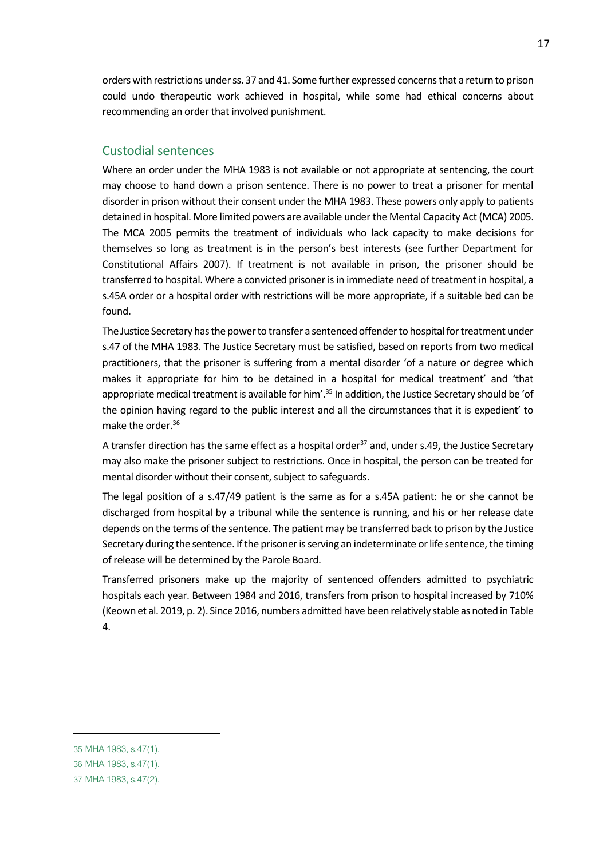orders with restrictions under ss. 37 and 41. Some further expressed concerns that a return to prison could undo therapeutic work achieved in hospital, while some had ethical concerns about recommending an order that involved punishment.

### Custodial sentences

Where an order under the MHA 1983 is not available or not appropriate at sentencing, the court may choose to hand down a prison sentence. There is no power to treat a prisoner for mental disorder in prison without their consent under the MHA 1983. These powers only apply to patients detained in hospital. More limited powers are available under the Mental Capacity Act (MCA) 2005. The MCA 2005 permits the treatment of individuals who lack capacity to make decisions for themselves so long as treatment is in the person's best interests (see further Department for Constitutional Affairs 2007). If treatment is not available in prison, the prisoner should be transferred to hospital. Where a convicted prisoner is in immediate need of treatment in hospital, a s.45A order or a hospital order with restrictions will be more appropriate, if a suitable bed can be found.

The Justice Secretary has the power to transfer a sentenced offender to hospital for treatment under s.47 of the MHA 1983. The Justice Secretary must be satisfied, based on reports from two medical practitioners, that the prisoner is suffering from a mental disorder 'of a nature or degree which makes it appropriate for him to be detained in a hospital for medical treatment' and 'that appropriate medical treatment is available for him'.<sup>35</sup> In addition, the Justice Secretary should be 'of the opinion having regard to the public interest and all the circumstances that it is expedient' to make the order.<sup>36</sup>

A transfer direction has the same effect as a hospital order<sup>37</sup> and, under s.49, the Justice Secretary may also make the prisoner subject to restrictions. Once in hospital, the person can be treated for mental disorder without their consent, subject to safeguards.

The legal position of a s.47/49 patient is the same as for a s.45A patient: he or she cannot be discharged from hospital by a tribunal while the sentence is running, and his or her release date depends on the terms of the sentence. The patient may be transferred back to prison by the Justice Secretary during the sentence. If the prisoner is serving an indeterminate or life sentence, the timing of release will be determined by the Parole Board.

Transferred prisoners make up the majority of sentenced offenders admitted to psychiatric hospitals each year. Between 1984 and 2016, transfers from prison to hospital increased by 710% (Keown et al. 2019, p. 2). Since 2016, numbers admitted have been relatively stable as noted in Table 4.

<sup>35</sup> MHA 1983, s.47(1).

<sup>36</sup> MHA 1983, s.47(1).

<sup>37</sup> MHA 1983, s.47(2).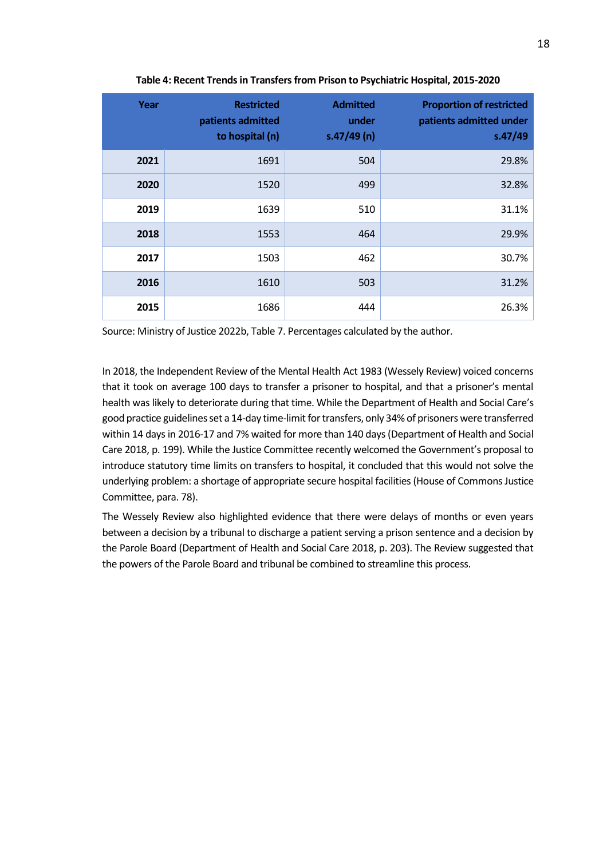| Year | <b>Restricted</b><br>patients admitted<br>to hospital (n) | <b>Admitted</b><br>under<br>s.47/49(n) | <b>Proportion of restricted</b><br>patients admitted under<br>s.47/49 |
|------|-----------------------------------------------------------|----------------------------------------|-----------------------------------------------------------------------|
| 2021 | 1691                                                      | 504                                    | 29.8%                                                                 |
| 2020 | 1520                                                      | 499                                    | 32.8%                                                                 |
| 2019 | 1639                                                      | 510                                    | 31.1%                                                                 |
| 2018 | 1553                                                      | 464                                    | 29.9%                                                                 |
| 2017 | 1503                                                      | 462                                    | 30.7%                                                                 |
| 2016 | 1610                                                      | 503                                    | 31.2%                                                                 |
| 2015 | 1686                                                      | 444                                    | 26.3%                                                                 |

**Table 4: Recent Trends in Transfers from Prison to Psychiatric Hospital, 2015-2020**

Source: Ministry of Justice 2022b, Table 7. Percentages calculated by the author.

In 2018, the Independent Review of the Mental Health Act 1983 (Wessely Review) voiced concerns that it took on average 100 days to transfer a prisoner to hospital, and that a prisoner's mental health was likely to deteriorate during that time. While the Department of Health and Social Care's good practice guidelines set a 14-day time-limit for transfers, only 34% of prisoners were transferred within 14 days in 2016-17 and 7% waited for more than 140 days (Department of Health and Social Care 2018, p. 199). While the Justice Committee recently welcomed the Government's proposal to introduce statutory time limits on transfers to hospital, it concluded that this would not solve the underlying problem: a shortage of appropriate secure hospital facilities (House of Commons Justice Committee, para. 78).

The Wessely Review also highlighted evidence that there were delays of months or even years between a decision by a tribunal to discharge a patient serving a prison sentence and a decision by the Parole Board (Department of Health and Social Care 2018, p. 203). The Review suggested that the powers of the Parole Board and tribunal be combined to streamline this process.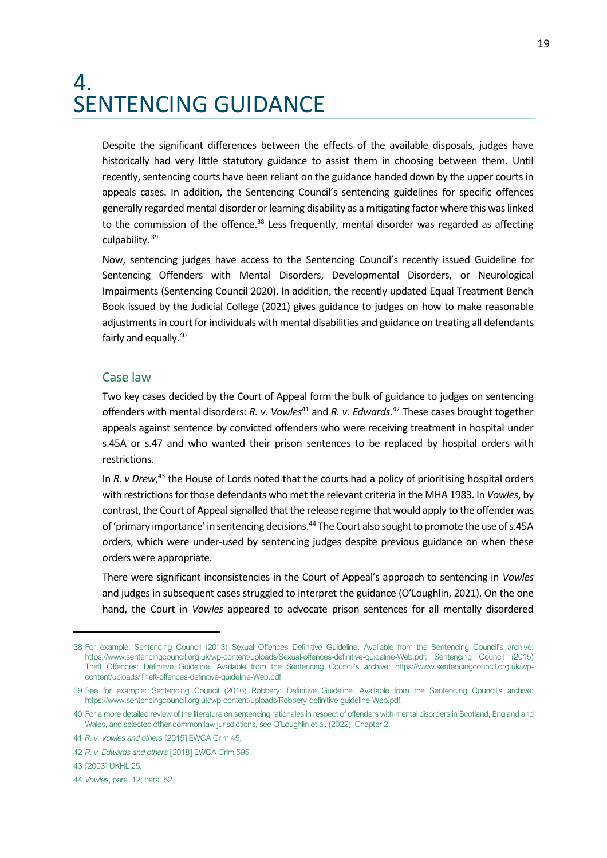### <span id="page-18-0"></span>4. SENTENCING GUIDANCE

Despite the significant differences between the effects of the available disposals, judges have historically had very little statutory guidance to assist them in choosing between them. Until recently, sentencing courts have been reliant on the guidance handed down by the upper courts in appeals cases. In addition, the Sentencing Council's sentencing guidelines for specific offences generally regarded mental disorder or learning disability as a mitigating factor where this was linked to the commission of the offence.<sup>38</sup> Less frequently, mental disorder was regarded as affecting culpability. <sup>39</sup>

Now, sentencing judges have access to the Sentencing Council's recently issued Guideline for Sentencing Offenders with Mental Disorders, Developmental Disorders, or Neurological Impairments (Sentencing Council 2020). In addition, the recently updated Equal Treatment Bench Book issued by the Judicial College (2021) gives guidance to judges on how to make reasonable adjustments in court for individuals with mental disabilities and guidance on treating all defendants fairly and equally.<sup>40</sup>

#### Case law

Two key cases decided by the Court of Appeal form the bulk of guidance to judges on sentencing offenders with mental disorders: *R. v. Vowles*<sup>41</sup> and *R. v. Edwards*. <sup>42</sup> These cases brought together appeals against sentence by convicted offenders who were receiving treatment in hospital under s.45A or s.47 and who wanted their prison sentences to be replaced by hospital orders with restrictions.

In *R. v Drew*,<sup>43</sup> the House of Lords noted that the courts had a policy of prioritising hospital orders with restrictions for those defendants who met the relevant criteria in the MHA 1983. In *Vowles*, by contrast, the Court of Appeal signalled that the release regime that would apply to the offender was of 'primary importance' in sentencing decisions.<sup>44</sup> The Court also sought to promote the use of s.45A orders, which were under-used by sentencing judges despite previous guidance on when these orders were appropriate.

There were significant inconsistencies in the Court of Appeal's approach to sentencing in *Vowles* and judges in subsequent cases struggled to interpret the guidance (O'Loughlin, 2021). On the one hand, the Court in *Vowles* appeared to advocate prison sentences for all mentally disordered

<sup>38</sup> For example: Sentencing Council (2013) Sexual Offences Definitive Guideline. Available from the Sentencing Council's archive: https://www.sentencingcouncil.org.uk/wp-content/uploads/Sexual-offences-definitive-guideline-Web.pdf; Sentencing Council (2015) Theft Offences: Definitive Guideline. Available from the Sentencing Council's archive: https://www.sentencingcouncil.org.uk/wpcontent/uploads/Theft-offences-definitive-guideline-Web.pdf

<sup>39</sup> See for example: Sentencing Council (2016) Robbery: Definitive Guideline. Available from the Sentencing Council's archive: https://www.sentencingcouncil.org.uk/wp-content/uploads/Robbery-definitive-guideline-Web.pdf.

<sup>40</sup> For a more detailed review of the literature on sentencing rationales in respect of offenders with mental disorders in Scotland, England and Wales, and selected other common law jurisdictions, see O'Loughlin et al. (2022), Chapter 2.

<sup>41</sup> *R. v. Vowles and others* [2015] EWCA Crim 45.

<sup>42</sup> *R. v. Edwards and others* [2018] EWCA Crim 595.

<sup>43</sup> [2003] UKHL 25.

<sup>44</sup> *Vowles*, para. 12; para. 52.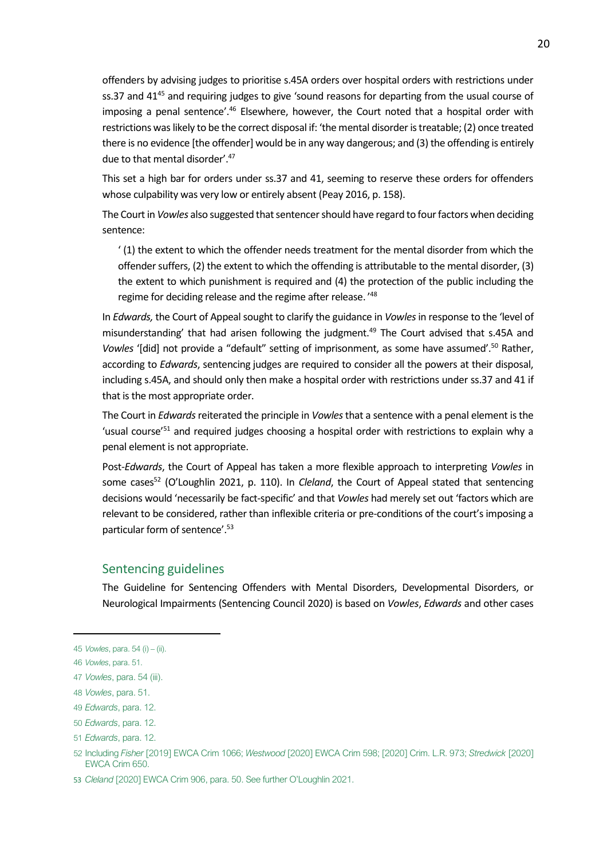offenders by advising judges to prioritise s.45A orders over hospital orders with restrictions under ss.37 and 41<sup>45</sup> and requiring judges to give 'sound reasons for departing from the usual course of imposing a penal sentence'.<sup>46</sup> Elsewhere, however, the Court noted that a hospital order with restrictions was likely to be the correct disposal if: 'the mental disorder is treatable; (2) once treated there is no evidence [the offender] would be in any way dangerous; and (3) the offending is entirely due to that mental disorder'. 47

This set a high bar for orders under ss.37 and 41, seeming to reserve these orders for offenders whose culpability was very low or entirely absent (Peay 2016, p. 158).

The Court in *Vowles* also suggested that sentencer should have regard to four factors when deciding sentence:

' (1) the extent to which the offender needs treatment for the mental disorder from which the offender suffers, (2) the extent to which the offending is attributable to the mental disorder, (3) the extent to which punishment is required and (4) the protection of the public including the regime for deciding release and the regime after release. ' 48

In *Edwards,* the Court of Appeal sought to clarify the guidance in *Vowles*in response to the 'level of misunderstanding' that had arisen following the judgment.<sup>49</sup> The Court advised that s.45A and *Vowles* '[did] not provide a "default" setting of imprisonment, as some have assumed'.<sup>50</sup> Rather, according to *Edwards*, sentencing judges are required to consider all the powers at their disposal, including s.45A, and should only then make a hospital order with restrictions under ss.37 and 41 if that is the most appropriate order.

The Court in *Edwards*reiterated the principle in *Vowles*that a sentence with a penal element is the 'usual course'<sup>51</sup> and required judges choosing a hospital order with restrictions to explain why a penal element is not appropriate.

Post-*Edwards*, the Court of Appeal has taken a more flexible approach to interpreting *Vowles* in some cases<sup>52</sup> (O'Loughlin 2021, p. 110). In *Cleland*, the Court of Appeal stated that sentencing decisions would 'necessarily be fact-specific' and that *Vowles* had merely set out 'factors which are relevant to be considered, rather than inflexible criteria or pre-conditions of the court's imposing a particular form of sentence'.<sup>53</sup>

#### Sentencing guidelines

The Guideline for Sentencing Offenders with Mental Disorders, Developmental Disorders, or Neurological Impairments (Sentencing Council 2020) is based on *Vowles*, *Edwards* and other cases

<sup>45</sup> *Vowles*, para. 54 (i) – (ii).

<sup>46</sup> *Vowles*, para. 51.

<sup>47</sup> *Vowles*, para. 54 (iii).

<sup>48</sup> *Vowles*, para. 51.

<sup>49</sup> *Edwards*, para. 12.

<sup>50</sup> *Edwards*, para. 12.

<sup>51</sup> *Edwards*, para. 12.

<sup>52</sup> Including *Fisher* [2019] EWCA Crim 1066; *Westwood* [2020] EWCA Crim 598; [2020] Crim. L.R. 973; *Stredwick* [2020] EWCA Crim 650.

<sup>53</sup> *Cleland* [2020] EWCA Crim 906, para. 50. See further O'Loughlin 2021.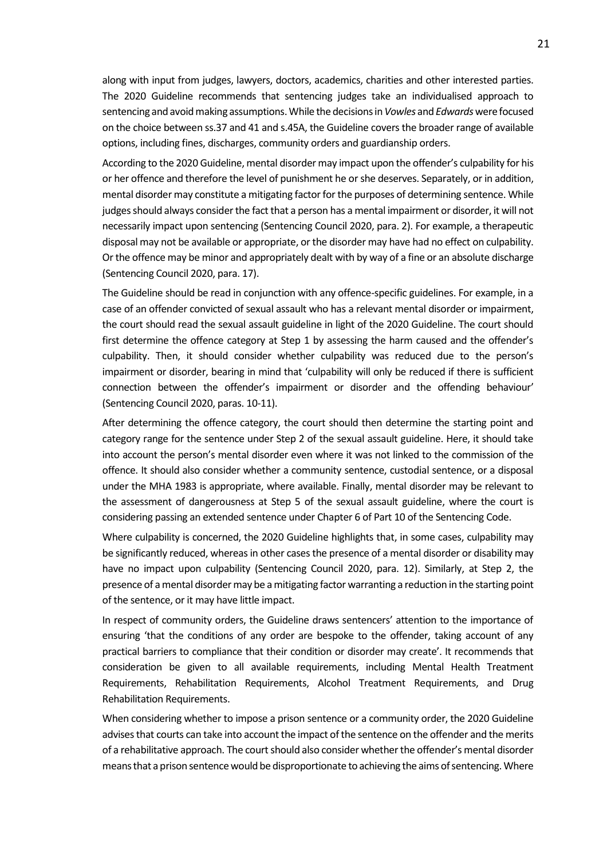along with input from judges, lawyers, doctors, academics, charities and other interested parties. The 2020 Guideline recommends that sentencing judges take an individualised approach to sentencing and avoid making assumptions. While the decisions in *Vowles* and *Edwards* were focused on the choice between ss.37 and 41 and s.45A, the Guideline covers the broader range of available options, including fines, discharges, community orders and guardianship orders.

According to the 2020 Guideline, mental disorder may impact upon the offender's culpability for his or her offence and therefore the level of punishment he or she deserves. Separately, or in addition, mental disorder may constitute a mitigating factor for the purposes of determining sentence. While judges should always consider the fact that a person has a mental impairment or disorder, it will not necessarily impact upon sentencing (Sentencing Council 2020, para. 2). For example, a therapeutic disposal may not be available or appropriate, or the disorder may have had no effect on culpability. Or the offence may be minor and appropriately dealt with by way of a fine or an absolute discharge (Sentencing Council 2020, para. 17).

The Guideline should be read in conjunction with any offence-specific guidelines. For example, in a case of an offender convicted of sexual assault who has a relevant mental disorder or impairment, the court should read the sexual assault guideline in light of the 2020 Guideline. The court should first determine the offence category at Step 1 by assessing the harm caused and the offender's culpability. Then, it should consider whether culpability was reduced due to the person's impairment or disorder, bearing in mind that 'culpability will only be reduced if there is sufficient connection between the offender's impairment or disorder and the offending behaviour' (Sentencing Council 2020, paras. 10-11).

After determining the offence category, the court should then determine the starting point and category range for the sentence under Step 2 of the sexual assault guideline. Here, it should take into account the person's mental disorder even where it was not linked to the commission of the offence. It should also consider whether a community sentence, custodial sentence, or a disposal under the MHA 1983 is appropriate, where available. Finally, mental disorder may be relevant to the assessment of dangerousness at Step 5 of the sexual assault guideline, where the court is considering passing an extended sentence under Chapter 6 of Part 10 of the Sentencing Code.

Where culpability is concerned, the 2020 Guideline highlights that, in some cases, culpability may be significantly reduced, whereas in other cases the presence of a mental disorder or disability may have no impact upon culpability (Sentencing Council 2020, para. 12). Similarly, at Step 2, the presence of a mental disorder may be a mitigating factor warranting a reduction in the starting point of the sentence, or it may have little impact.

In respect of community orders, the Guideline draws sentencers' attention to the importance of ensuring 'that the conditions of any order are bespoke to the offender, taking account of any practical barriers to compliance that their condition or disorder may create'. It recommends that consideration be given to all available requirements, including Mental Health Treatment Requirements, Rehabilitation Requirements, Alcohol Treatment Requirements, and Drug Rehabilitation Requirements.

When considering whether to impose a prison sentence or a community order, the 2020 Guideline advises that courts can take into account the impact of the sentence on the offender and the merits of a rehabilitative approach. The court should also consider whether the offender's mental disorder means that a prison sentence would be disproportionate to achieving the aims of sentencing. Where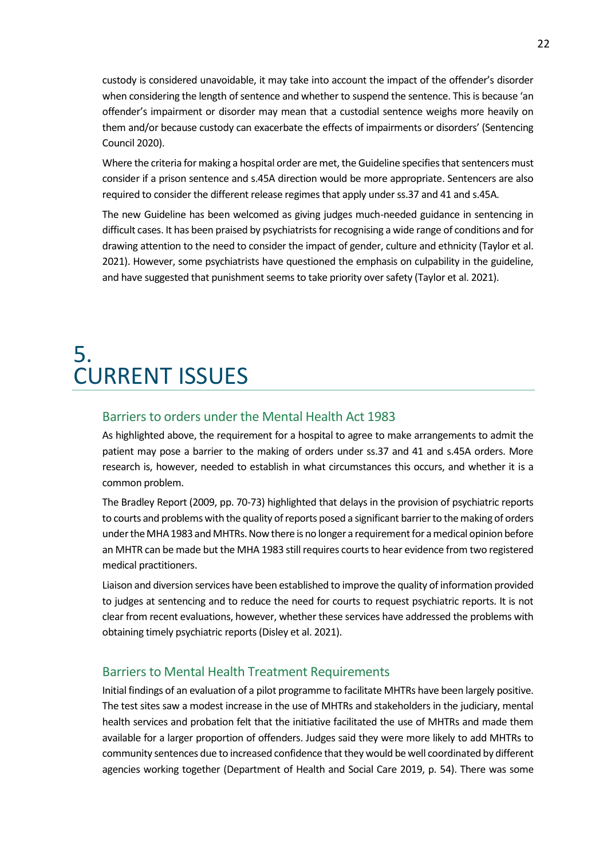custody is considered unavoidable, it may take into account the impact of the offender's disorder when considering the length of sentence and whether to suspend the sentence. This is because 'an offender's impairment or disorder may mean that a custodial sentence weighs more heavily on them and/or because custody can exacerbate the effects of impairments or disorders' (Sentencing Council 2020).

Where the criteria for making a hospital order are met, the Guideline specifies that sentencers must consider if a prison sentence and s.45A direction would be more appropriate. Sentencers are also required to consider the different release regimes that apply under ss.37 and 41 and s.45A.

The new Guideline has been welcomed as giving judges much-needed guidance in sentencing in difficult cases. It has been praised by psychiatrists for recognising a wide range of conditions and for drawing attention to the need to consider the impact of gender, culture and ethnicity (Taylor et al. 2021). However, some psychiatrists have questioned the emphasis on culpability in the guideline, and have suggested that punishment seems to take priority over safety (Taylor et al. 2021).

### <span id="page-21-0"></span>5. CURRENT ISSUES

### Barriers to orders under the Mental Health Act 1983

As highlighted above, the requirement for a hospital to agree to make arrangements to admit the patient may pose a barrier to the making of orders under ss.37 and 41 and s.45A orders. More research is, however, needed to establish in what circumstances this occurs, and whether it is a common problem.

The Bradley Report (2009, pp. 70-73) highlighted that delays in the provision of psychiatric reports to courts and problems with the quality of reports posed a significant barrier to the making of orders under the MHA 1983 and MHTRs. Now there is no longer a requirement for a medical opinion before an MHTR can be made but the MHA 1983 still requires courts to hear evidence from two registered medical practitioners.

Liaison and diversion services have been established to improve the quality of information provided to judges at sentencing and to reduce the need for courts to request psychiatric reports. It is not clear from recent evaluations, however, whether these services have addressed the problems with obtaining timely psychiatric reports (Disley et al. 2021).

### Barriers to Mental Health Treatment Requirements

Initial findings of an evaluation of a pilot programme to facilitate MHTRs have been largely positive. The test sites saw a modest increase in the use of MHTRs and stakeholders in the judiciary, mental health services and probation felt that the initiative facilitated the use of MHTRs and made them available for a larger proportion of offenders. Judges said they were more likely to add MHTRs to community sentences due to increased confidence that they would be well coordinated by different agencies working together (Department of Health and Social Care 2019, p. 54). There was some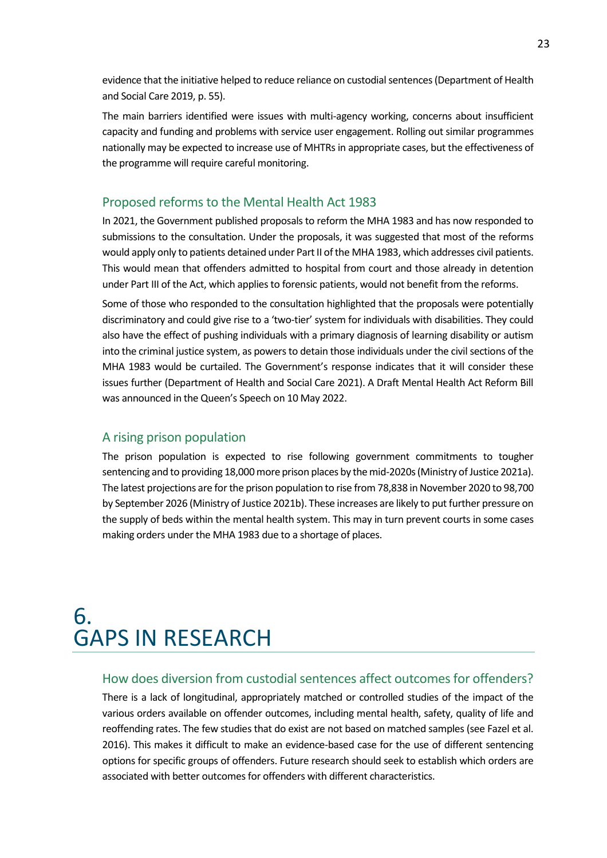evidence that the initiative helped to reduce reliance on custodial sentences (Department of Health and Social Care 2019, p. 55).

The main barriers identified were issues with multi-agency working, concerns about insufficient capacity and funding and problems with service user engagement. Rolling out similar programmes nationally may be expected to increase use of MHTRs in appropriate cases, but the effectiveness of the programme will require careful monitoring.

### Proposed reforms to the Mental Health Act 1983

In 2021, the Government published proposals to reform the MHA 1983 and has now responded to submissions to the consultation. Under the proposals, it was suggested that most of the reforms would apply only to patients detained under Part II of the MHA 1983, which addresses civil patients. This would mean that offenders admitted to hospital from court and those already in detention under Part III of the Act, which applies to forensic patients, would not benefit from the reforms.

Some of those who responded to the consultation highlighted that the proposals were potentially discriminatory and could give rise to a 'two-tier' system for individuals with disabilities. They could also have the effect of pushing individuals with a primary diagnosis of learning disability or autism into the criminal justice system, as powers to detain those individuals under the civil sections of the MHA 1983 would be curtailed. The Government's response indicates that it will consider these issues further (Department of Health and Social Care 2021). A Draft Mental Health Act Reform Bill was announced in the Queen's Speech on 10 May 2022.

#### A rising prison population

The prison population is expected to rise following government commitments to tougher sentencing and to providing 18,000 more prison places by the mid-2020s (Ministry of Justice 2021a). The latest projections are for the prison population to rise from 78,838 in November 2020 to 98,700 by September 2026 (Ministry of Justice 2021b). These increases are likely to put further pressure on the supply of beds within the mental health system. This may in turn prevent courts in some cases making orders under the MHA 1983 due to a shortage of places.

### <span id="page-22-0"></span>6. GAPS IN RESEARCH

#### How does diversion from custodial sentences affect outcomes for offenders?

There is a lack of longitudinal, appropriately matched or controlled studies of the impact of the various orders available on offender outcomes, including mental health, safety, quality of life and reoffending rates. The few studies that do exist are not based on matched samples (see Fazel et al. 2016). This makes it difficult to make an evidence-based case for the use of different sentencing options for specific groups of offenders. Future research should seek to establish which orders are associated with better outcomes for offenders with different characteristics.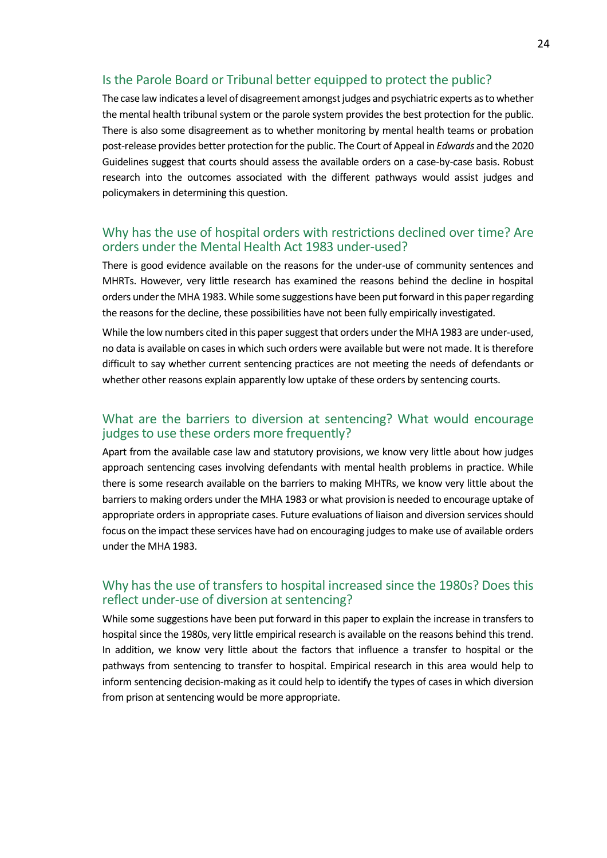### Is the Parole Board or Tribunal better equipped to protect the public?

The case law indicates a level of disagreement amongst judges and psychiatric experts as to whether the mental health tribunal system or the parole system provides the best protection for the public. There is also some disagreement as to whether monitoring by mental health teams or probation post-release provides better protection for the public. The Court of Appeal in *Edwards* and the 2020 Guidelines suggest that courts should assess the available orders on a case-by-case basis. Robust research into the outcomes associated with the different pathways would assist judges and policymakers in determining this question.

### Why has the use of hospital orders with restrictions declined over time? Are orders under the Mental Health Act 1983 under-used?

There is good evidence available on the reasons for the under-use of community sentences and MHRTs. However, very little research has examined the reasons behind the decline in hospital orders under the MHA 1983. While some suggestions have been put forward in this paper regarding the reasons for the decline, these possibilities have not been fully empirically investigated.

While the low numbers cited in this paper suggest that orders under the MHA 1983 are under-used, no data is available on cases in which such orders were available but were not made. It is therefore difficult to say whether current sentencing practices are not meeting the needs of defendants or whether other reasons explain apparently low uptake of these orders by sentencing courts.

### What are the barriers to diversion at sentencing? What would encourage judges to use these orders more frequently?

Apart from the available case law and statutory provisions, we know very little about how judges approach sentencing cases involving defendants with mental health problems in practice. While there is some research available on the barriers to making MHTRs, we know very little about the barriers to making orders under the MHA 1983 or what provision is needed to encourage uptake of appropriate orders in appropriate cases. Future evaluations of liaison and diversion services should focus on the impact these services have had on encouraging judges to make use of available orders under the MHA 1983.

### Why has the use of transfers to hospital increased since the 1980s? Does this reflect under-use of diversion at sentencing?

While some suggestions have been put forward in this paper to explain the increase in transfers to hospital since the 1980s, very little empirical research is available on the reasons behind this trend. In addition, we know very little about the factors that influence a transfer to hospital or the pathways from sentencing to transfer to hospital. Empirical research in this area would help to inform sentencing decision-making as it could help to identify the types of cases in which diversion from prison at sentencing would be more appropriate.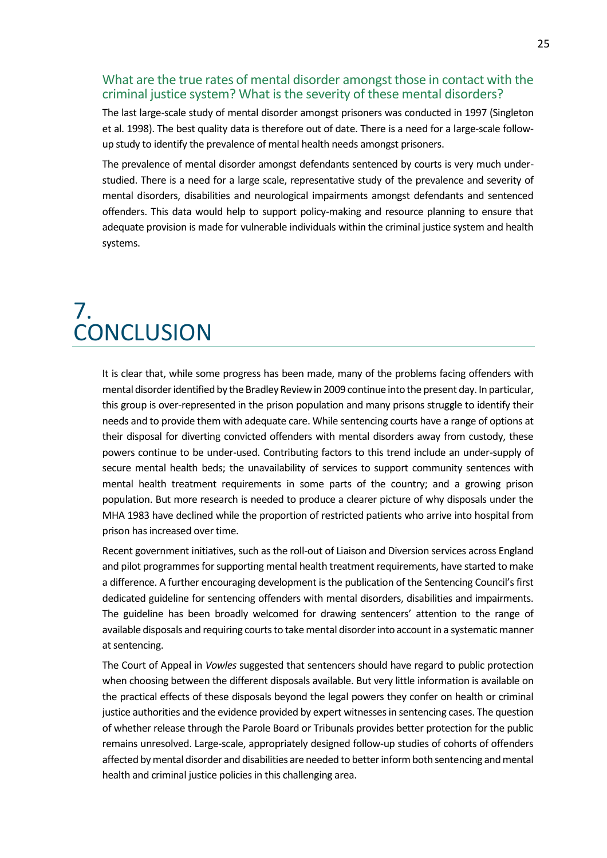### What are the true rates of mental disorder amongst those in contact with the criminal justice system? What is the severity of these mental disorders?

The last large-scale study of mental disorder amongst prisoners was conducted in 1997 (Singleton et al. 1998). The best quality data is therefore out of date. There is a need for a large-scale followup study to identify the prevalence of mental health needs amongst prisoners.

The prevalence of mental disorder amongst defendants sentenced by courts is very much understudied. There is a need for a large scale, representative study of the prevalence and severity of mental disorders, disabilities and neurological impairments amongst defendants and sentenced offenders. This data would help to support policy-making and resource planning to ensure that adequate provision is made for vulnerable individuals within the criminal justice system and health systems.

### <span id="page-24-0"></span>7. **CONCLUSION**

It is clear that, while some progress has been made, many of the problems facing offenders with mental disorder identified by the Bradley Review in 2009 continue into the present day. In particular, this group is over-represented in the prison population and many prisons struggle to identify their needs and to provide them with adequate care. While sentencing courts have a range of options at their disposal for diverting convicted offenders with mental disorders away from custody, these powers continue to be under-used. Contributing factors to this trend include an under-supply of secure mental health beds; the unavailability of services to support community sentences with mental health treatment requirements in some parts of the country; and a growing prison population. But more research is needed to produce a clearer picture of why disposals under the MHA 1983 have declined while the proportion of restricted patients who arrive into hospital from prison has increased over time.

Recent government initiatives, such as the roll-out of Liaison and Diversion services across England and pilot programmes for supporting mental health treatment requirements, have started to make a difference. A further encouraging development is the publication of the Sentencing Council's first dedicated guideline for sentencing offenders with mental disorders, disabilities and impairments. The guideline has been broadly welcomed for drawing sentencers' attention to the range of available disposals and requiring courts to take mental disorder into account in a systematic manner at sentencing.

The Court of Appeal in *Vowles* suggested that sentencers should have regard to public protection when choosing between the different disposals available. But very little information is available on the practical effects of these disposals beyond the legal powers they confer on health or criminal justice authorities and the evidence provided by expert witnesses in sentencing cases. The question of whether release through the Parole Board or Tribunals provides better protection for the public remains unresolved. Large-scale, appropriately designed follow-up studies of cohorts of offenders affected by mental disorder and disabilities are needed to better inform both sentencing and mental health and criminal justice policies in this challenging area.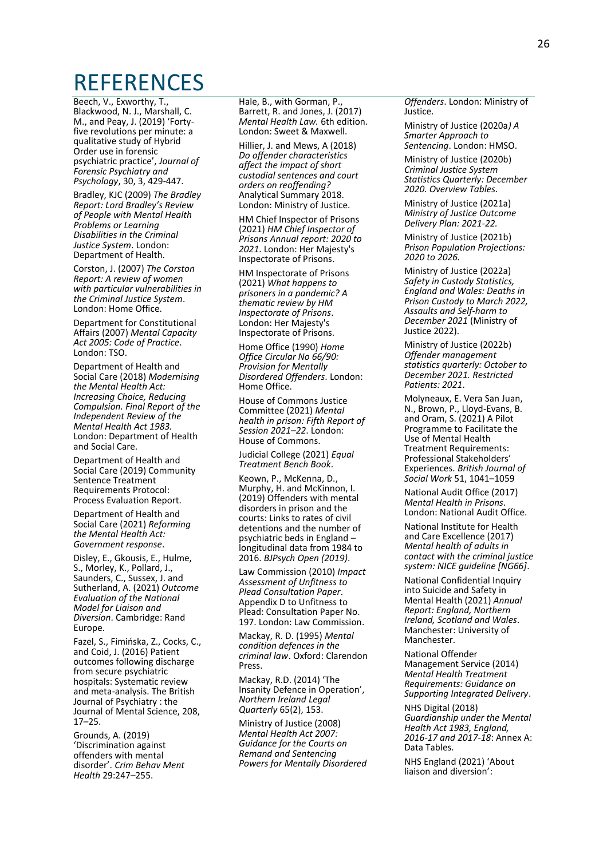### <span id="page-25-0"></span>REFERENCES

Beech, V., Exworthy, T., Blackwood, N. J., Marshall, C. M., and Peay, J. (2019) 'Fortyfive revolutions per minute: a qualitative study of Hybrid Order use in forensic psychiatric practice', *Journal of Forensic Psychiatry and Psychology*, 30, 3, 429-447.

Bradley, KJC (2009) *The Bradley Report: Lord Bradley's Review of People with Mental Health Problems or Learning Disabilities in the Criminal Justice System*. London: Department of Health.

Corston, J. (2007) *The Corston Report: A review of women with particular vulnerabilities in the Criminal Justice System*. London: Home Office.

Department for Constitutional Affairs (2007) *Mental Capacity Act 2005: Code of Practice*. London: TSO.

Department of Health and Social Care (2018) *Modernising the Mental Health Act: Increasing Choice, Reducing Compulsion. Final Report of the Independent Review of the Mental Health Act 1983.*  London: Department of Health and Social Care.

Department of Health and Social Care (2019) Community Sentence Treatment Requirements Protocol: Process Evaluation Report.

Department of Health and Social Care (2021) *Reforming the Mental Health Act: Government response*.

Disley, E., Gkousis, E., Hulme, S., Morley, K., Pollard, J., Saunders, C., Sussex, J. and Sutherland, A. (2021) *Outcome Evaluation of the National Model for Liaison and Diversion*. Cambridge: Rand Europe.

Fazel, S., Fimińska, Z., Cocks, C., and Coid, J. (2016) Patient outcomes following discharge from secure psychiatric hospitals: Systematic review and meta-analysis. The British Journal of Psychiatry : the Journal of Mental Science, 208, 17–25.

Grounds, A. (2019) 'Discrimination against offenders with mental disorder'. *Crim Behav Ment Health* 29:247–255.

Hale, B., with Gorman, P., Barrett, R. and Jones, J. (2017) *Mental Health Law.* 6th edition. London: Sweet & Maxwell.

Hillier, J. and Mews, A (2018) *Do offender characteristics affect the impact of short custodial sentences and court orders on reoffending?* Analytical Summary 2018. London: Ministry of Justice.

HM Chief Inspector of Prisons (2021) *HM Chief Inspector of Prisons Annual report: 2020 to 2021*. London: Her Majesty's Inspectorate of Prisons.

HM Inspectorate of Prisons (2021) *What happens to prisoners in a pandemic? A thematic review by HM Inspectorate of Prisons*. London: Her Majesty's Inspectorate of Prisons.

Home Office (1990) *Home Office Circular No 66/90: Provision for Mentally Disordered Offenders*. London: Home Office.

House of Commons Justice Committee (2021) *Mental health in prison: Fifth Report of Session 2021–22*. London: House of Commons.

Judicial College (2021) *Equal Treatment Bench Book*.

Keown, P., McKenna, D., Murphy, H. and McKinnon, I. (2019) Offenders with mental disorders in prison and the courts: Links to rates of civil detentions and the number of psychiatric beds in England – longitudinal data from 1984 to 2016. *BJPsych Open (2019)*.

Law Commission (2010) *Impact Assessment of Unfitness to Plead Consultation Paper*. Appendix D to Unfitness to Plead: Consultation Paper No. 197. London: Law Commission.

Mackay, R. D. (1995) *Mental condition defences in the criminal law*. Oxford: Clarendon Press.

Mackay, R.D. (2014) 'The Insanity Defence in Operation', *Northern Ireland Legal Quarterly* 65(2), 153.

Ministry of Justice (2008) *Mental Health Act 2007: Guidance for the Courts on Remand and Sentencing Powers for Mentally Disordered*  *Offenders*. London: Ministry of Justice.

Ministry of Justice (2020a*) A Smarter Approach to Sentencing*. London: HMSO.

Ministry of Justice (2020b) *Criminal Justice System Statistics Quarterly: December 2020. Overview Tables*.

Ministry of Justice (2021a) *Ministry of Justice Outcome Delivery Plan: 2021-22.*

Ministry of Justice (2021b) *Prison Population Projections: 2020 to 2026.*

Ministry of Justice (2022a) *Safety in Custody Statistics, England and Wales: Deaths in Prison Custody to March 2022, Assaults and Self-harm to December 2021* (Ministry of Justice 2022).

Ministry of Justice (2022b) *Offender management statistics quarterly: October to December 2021. Restricted Patients: 2021*.

Molyneaux, E. Vera San Juan, N., Brown, P., Lloyd-Evans, B. and Oram, S. (2021) A Pilot Programme to Facilitate the Use of Mental Health Treatment Requirements: Professional Stakeholders' Experiences. *British Journal of Social Work* 51, 1041–1059

National Audit Office (2017) *Mental Health in Prisons*. London: National Audit Office.

National Institute for Health and Care Excellence (2017) *Mental health of adults in contact with the criminal justice system: NICE guideline [NG66]*.

National Confidential Inquiry into Suicide and Safety in Mental Health (2021) *Annual Report: England, Northern Ireland, Scotland and Wales*. Manchester: University of Manchester.

National Offender Management Service (2014) *Mental Health Treatment Requirements: Guidance on Supporting Integrated Delivery*.

NHS Digital (2018) *Guardianship under the Mental Health Act 1983, England, 2016-17 and 2017-18*: Annex A: Data Tables.

NHS England (2021) 'About liaison and diversion':